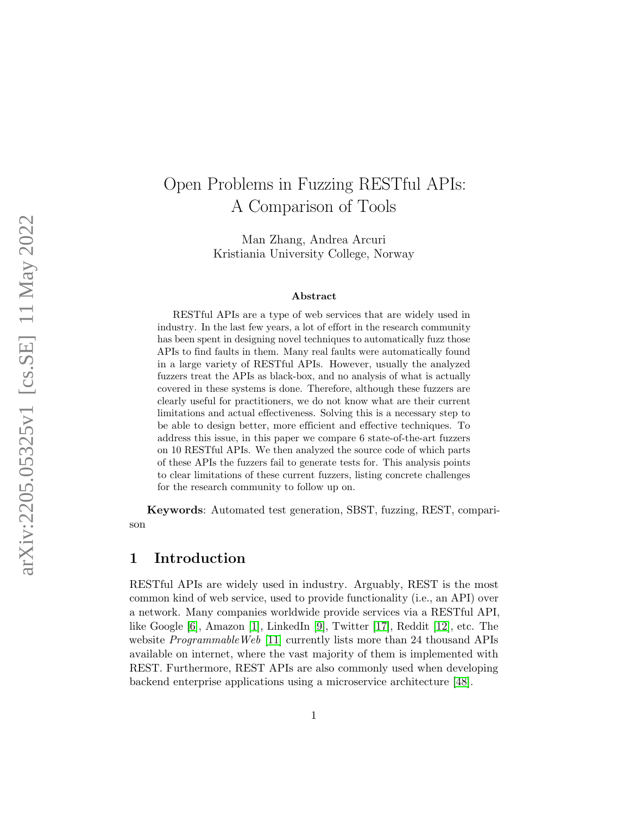# Open Problems in Fuzzing RESTful APIs: A Comparison of Tools

Man Zhang, Andrea Arcuri Kristiania University College, Norway

#### Abstract

RESTful APIs are a type of web services that are widely used in industry. In the last few years, a lot of effort in the research community has been spent in designing novel techniques to automatically fuzz those APIs to find faults in them. Many real faults were automatically found in a large variety of RESTful APIs. However, usually the analyzed fuzzers treat the APIs as black-box, and no analysis of what is actually covered in these systems is done. Therefore, although these fuzzers are clearly useful for practitioners, we do not know what are their current limitations and actual effectiveness. Solving this is a necessary step to be able to design better, more efficient and effective techniques. To address this issue, in this paper we compare 6 state-of-the-art fuzzers on 10 RESTful APIs. We then analyzed the source code of which parts of these APIs the fuzzers fail to generate tests for. This analysis points to clear limitations of these current fuzzers, listing concrete challenges for the research community to follow up on.

Keywords: Automated test generation, SBST, fuzzing, REST, comparison

### 1 Introduction

RESTful APIs are widely used in industry. Arguably, REST is the most common kind of web service, used to provide functionality (i.e., an API) over a network. Many companies worldwide provide services via a RESTful API, like Google [\[6\]](#page-25-0), Amazon [\[1\]](#page-25-1), LinkedIn [\[9\]](#page-25-2), Twitter [\[17\]](#page-26-0), Reddit [\[12\]](#page-26-1), etc. The website *ProgrammableWeb* [\[11\]](#page-26-2) currently lists more than 24 thousand APIs available on internet, where the vast majority of them is implemented with REST. Furthermore, REST APIs are also commonly used when developing backend enterprise applications using a microservice architecture [\[48\]](#page-29-0).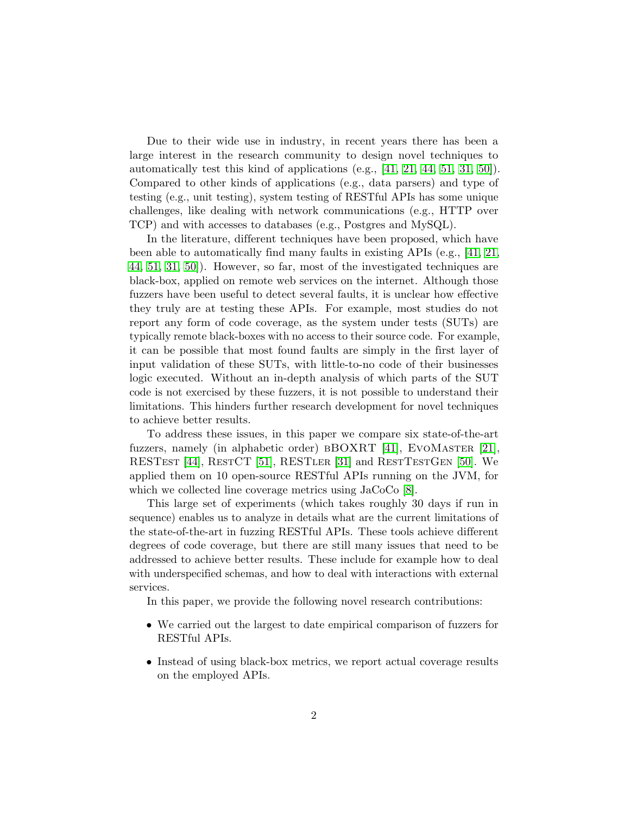Due to their wide use in industry, in recent years there has been a large interest in the research community to design novel techniques to automatically test this kind of applications (e.g., [\[41,](#page-28-0) [21,](#page-26-3) [44,](#page-28-1) [51,](#page-29-1) [31,](#page-27-0) [50\]](#page-29-2)). Compared to other kinds of applications (e.g., data parsers) and type of testing (e.g., unit testing), system testing of RESTful APIs has some unique challenges, like dealing with network communications (e.g., HTTP over TCP) and with accesses to databases (e.g., Postgres and MySQL).

In the literature, different techniques have been proposed, which have been able to automatically find many faults in existing APIs (e.g., [\[41,](#page-28-0) [21,](#page-26-3) [44,](#page-28-1) [51,](#page-29-1) [31,](#page-27-0) [50\]](#page-29-2)). However, so far, most of the investigated techniques are black-box, applied on remote web services on the internet. Although those fuzzers have been useful to detect several faults, it is unclear how effective they truly are at testing these APIs. For example, most studies do not report any form of code coverage, as the system under tests (SUTs) are typically remote black-boxes with no access to their source code. For example, it can be possible that most found faults are simply in the first layer of input validation of these SUTs, with little-to-no code of their businesses logic executed. Without an in-depth analysis of which parts of the SUT code is not exercised by these fuzzers, it is not possible to understand their limitations. This hinders further research development for novel techniques to achieve better results.

To address these issues, in this paper we compare six state-of-the-art fuzzers, namely (in alphabetic order) bBOXRT [\[41\]](#page-28-0), EvoMaster [\[21\]](#page-26-3), RESTEST [\[44\]](#page-28-1), RESTCT [\[51\]](#page-29-1), RESTLER [\[31\]](#page-27-0) and RESTTESTGEN [\[50\]](#page-29-2). We applied them on 10 open-source RESTful APIs running on the JVM, for which we collected line coverage metrics using JaCoCo [\[8\]](#page-25-3).

This large set of experiments (which takes roughly 30 days if run in sequence) enables us to analyze in details what are the current limitations of the state-of-the-art in fuzzing RESTful APIs. These tools achieve different degrees of code coverage, but there are still many issues that need to be addressed to achieve better results. These include for example how to deal with underspecified schemas, and how to deal with interactions with external services.

In this paper, we provide the following novel research contributions:

- We carried out the largest to date empirical comparison of fuzzers for RESTful APIs.
- Instead of using black-box metrics, we report actual coverage results on the employed APIs.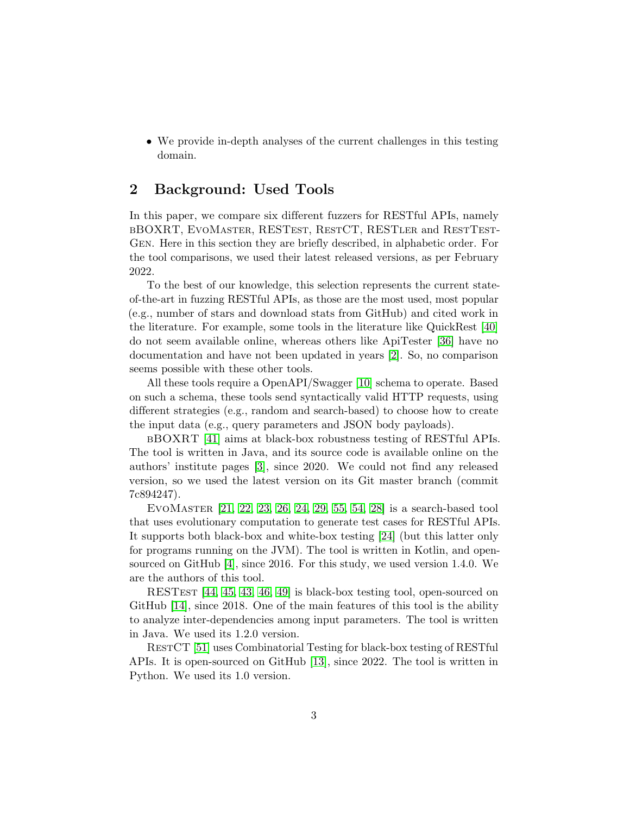• We provide in-depth analyses of the current challenges in this testing domain.

### 2 Background: Used Tools

In this paper, we compare six different fuzzers for RESTful APIs, namely bBOXRT, EvoMaster, RESTest, RestCT, RESTler and RestTest-Gen. Here in this section they are briefly described, in alphabetic order. For the tool comparisons, we used their latest released versions, as per February 2022.

To the best of our knowledge, this selection represents the current stateof-the-art in fuzzing RESTful APIs, as those are the most used, most popular (e.g., number of stars and download stats from GitHub) and cited work in the literature. For example, some tools in the literature like QuickRest [\[40\]](#page-28-2) do not seem available online, whereas others like ApiTester [\[36\]](#page-28-3) have no documentation and have not been updated in years [\[2\]](#page-25-4). So, no comparison seems possible with these other tools.

All these tools require a OpenAPI/Swagger [\[10\]](#page-25-5) schema to operate. Based on such a schema, these tools send syntactically valid HTTP requests, using different strategies (e.g., random and search-based) to choose how to create the input data (e.g., query parameters and JSON body payloads).

bBOXRT [\[41\]](#page-28-0) aims at black-box robustness testing of RESTful APIs. The tool is written in Java, and its source code is available online on the authors' institute pages [\[3\]](#page-25-6), since 2020. We could not find any released version, so we used the latest version on its Git master branch (commit 7c894247).

EvoMaster [\[21,](#page-26-3) [22,](#page-26-4) [23,](#page-26-5) [26,](#page-27-1) [24,](#page-26-6) [29,](#page-27-2) [55,](#page-29-3) [54,](#page-29-4) [28\]](#page-27-3) is a search-based tool that uses evolutionary computation to generate test cases for RESTful APIs. It supports both black-box and white-box testing [\[24\]](#page-26-6) (but this latter only for programs running on the JVM). The tool is written in Kotlin, and opensourced on GitHub [\[4\]](#page-25-7), since 2016. For this study, we used version 1.4.0. We are the authors of this tool.

RESTest [\[44,](#page-28-1) [45,](#page-28-4) [43,](#page-28-5) [46,](#page-29-5) [49\]](#page-29-6) is black-box testing tool, open-sourced on GitHub [\[14\]](#page-26-7), since 2018. One of the main features of this tool is the ability to analyze inter-dependencies among input parameters. The tool is written in Java. We used its 1.2.0 version.

RESTCT [\[51\]](#page-29-1) uses Combinatorial Testing for black-box testing of RESTful APIs. It is open-sourced on GitHub [\[13\]](#page-26-8), since 2022. The tool is written in Python. We used its 1.0 version.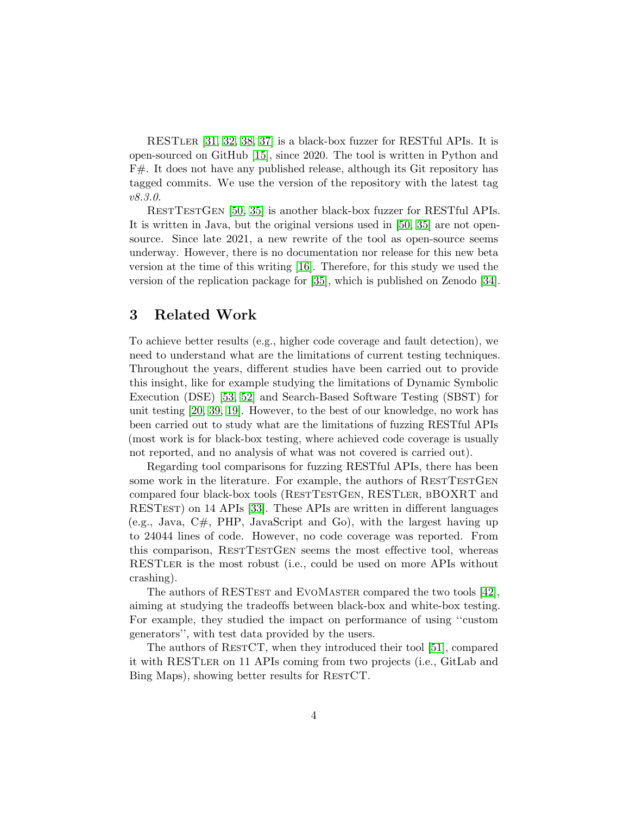RESTler [\[31,](#page-27-0) [32,](#page-27-4) [38,](#page-28-6) [37\]](#page-28-7) is a black-box fuzzer for RESTful APIs. It is open-sourced on GitHub [\[15\]](#page-26-9), since 2020. The tool is written in Python and F#. It does not have any published release, although its Git repository has tagged commits. We use the version of the repository with the latest tag v8.3.0.

RestTestGen [\[50,](#page-29-2) [35\]](#page-27-5) is another black-box fuzzer for RESTful APIs. It is written in Java, but the original versions used in [\[50,](#page-29-2) [35\]](#page-27-5) are not opensource. Since late 2021, a new rewrite of the tool as open-source seems underway. However, there is no documentation nor release for this new beta version at the time of this writing [\[16\]](#page-26-10). Therefore, for this study we used the version of the replication package for [\[35\]](#page-27-5), which is published on Zenodo [\[34\]](#page-27-6).

### 3 Related Work

To achieve better results (e.g., higher code coverage and fault detection), we need to understand what are the limitations of current testing techniques. Throughout the years, different studies have been carried out to provide this insight, like for example studying the limitations of Dynamic Symbolic Execution (DSE) [\[53,](#page-29-7) [52\]](#page-29-8) and Search-Based Software Testing (SBST) for unit testing [\[20,](#page-26-11) [39,](#page-28-8) [19\]](#page-26-12). However, to the best of our knowledge, no work has been carried out to study what are the limitations of fuzzing RESTful APIs (most work is for black-box testing, where achieved code coverage is usually not reported, and no analysis of what was not covered is carried out).

Regarding tool comparisons for fuzzing RESTful APIs, there has been some work in the literature. For example, the authors of RESTTESTGEN compared four black-box tools (RESTTESTGEN, RESTLER, BBOXRT and RESTest) on 14 APIs [\[33\]](#page-27-7). These APIs are written in different languages  $(e.g., Java, C#, PHP, JavaScript and Go), with the largest having up$ to 24044 lines of code. However, no code coverage was reported. From this comparison, RESTTESTGEN seems the most effective tool, whereas RESTler is the most robust (i.e., could be used on more APIs without crashing).

The authors of RESTEST and EVOMASTER compared the two tools [\[42\]](#page-28-9), aiming at studying the tradeoffs between black-box and white-box testing. For example, they studied the impact on performance of using ''custom generators'', with test data provided by the users.

The authors of RESTCT, when they introduced their tool [\[51\]](#page-29-1), compared it with RESTler on 11 APIs coming from two projects (i.e., GitLab and Bing Maps), showing better results for RESTCT.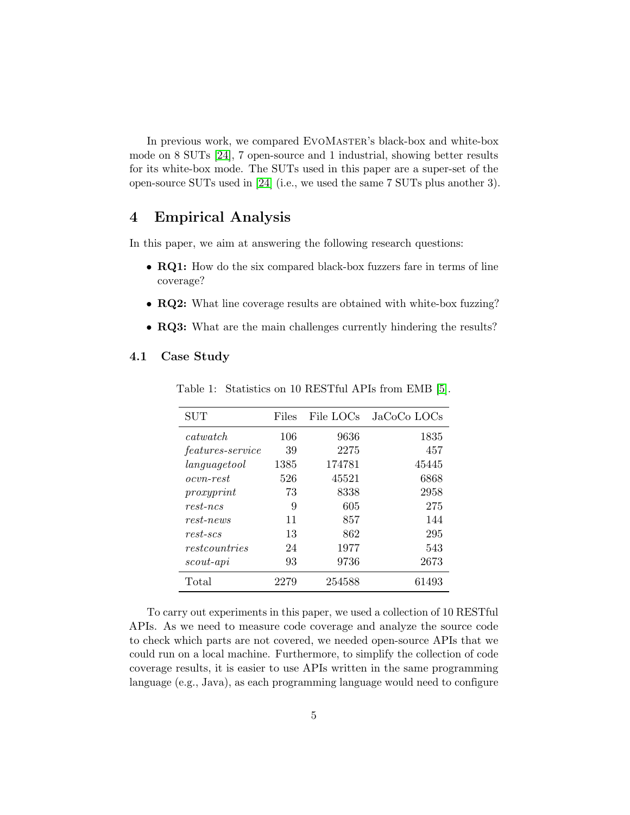In previous work, we compared EVOMASTER's black-box and white-box mode on 8 SUTs [\[24\]](#page-26-6), 7 open-source and 1 industrial, showing better results for its white-box mode. The SUTs used in this paper are a super-set of the open-source SUTs used in [\[24\]](#page-26-6) (i.e., we used the same 7 SUTs plus another 3).

### 4 Empirical Analysis

In this paper, we aim at answering the following research questions:

- RQ1: How do the six compared black-box fuzzers fare in terms of line coverage?
- RQ2: What line coverage results are obtained with white-box fuzzing?
- RQ3: What are the main challenges currently hindering the results?

#### <span id="page-4-0"></span>4.1 Case Study

| $\operatorname{SUT}$    | Files | File LOCs | JaCoCo LOCs |
|-------------------------|-------|-----------|-------------|
| catwatch                | 106   | 9636      | 1835        |
| <i>features-service</i> | 39    | 2275      | 457         |
| languagetool            | 1385  | 174781    | 45445       |
| <i>ocvn-rest</i>        | 526   | 45521     | 6868        |
| proxyprint              | 73    | 8338      | 2958        |
| $rest-ncs$              | 9     | 605       | 275         |
| $rest-news$             | 11    | 857       | 144         |
| $rest-scs$              | 13    | 862       | 295         |
| restcountries           | 24    | 1977      | 543         |
| scout-api               | 93    | 9736      | 2673        |
| Total                   | 2279  | 254588    | 61493       |

Table 1: Statistics on 10 RESTful APIs from EMB [\[5\]](#page-25-8).

To carry out experiments in this paper, we used a collection of 10 RESTful APIs. As we need to measure code coverage and analyze the source code to check which parts are not covered, we needed open-source APIs that we could run on a local machine. Furthermore, to simplify the collection of code coverage results, it is easier to use APIs written in the same programming language (e.g., Java), as each programming language would need to configure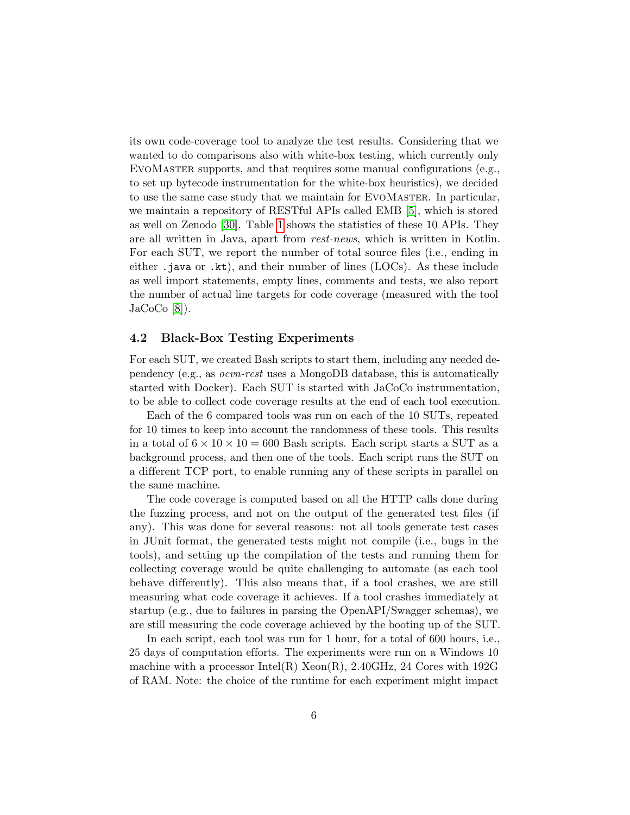its own code-coverage tool to analyze the test results. Considering that we wanted to do comparisons also with white-box testing, which currently only EvoMaster supports, and that requires some manual configurations (e.g., to set up bytecode instrumentation for the white-box heuristics), we decided to use the same case study that we maintain for EvoMaster. In particular, we maintain a repository of RESTful APIs called EMB [\[5\]](#page-25-8), which is stored as well on Zenodo [\[30\]](#page-27-8). Table [1](#page-4-0) shows the statistics of these 10 APIs. They are all written in Java, apart from rest-news, which is written in Kotlin. For each SUT, we report the number of total source files (i.e., ending in either .java or .kt), and their number of lines (LOCs). As these include as well import statements, empty lines, comments and tests, we also report the number of actual line targets for code coverage (measured with the tool  $Jac_0Co[8]$  $Jac_0Co[8]$ .

#### <span id="page-5-0"></span>4.2 Black-Box Testing Experiments

For each SUT, we created Bash scripts to start them, including any needed dependency (e.g., as ocvn-rest uses a MongoDB database, this is automatically started with Docker). Each SUT is started with JaCoCo instrumentation, to be able to collect code coverage results at the end of each tool execution.

Each of the 6 compared tools was run on each of the 10 SUTs, repeated for 10 times to keep into account the randomness of these tools. This results in a total of  $6 \times 10 \times 10 = 600$  Bash scripts. Each script starts a SUT as a background process, and then one of the tools. Each script runs the SUT on a different TCP port, to enable running any of these scripts in parallel on the same machine.

The code coverage is computed based on all the HTTP calls done during the fuzzing process, and not on the output of the generated test files (if any). This was done for several reasons: not all tools generate test cases in JUnit format, the generated tests might not compile (i.e., bugs in the tools), and setting up the compilation of the tests and running them for collecting coverage would be quite challenging to automate (as each tool behave differently). This also means that, if a tool crashes, we are still measuring what code coverage it achieves. If a tool crashes immediately at startup (e.g., due to failures in parsing the OpenAPI/Swagger schemas), we are still measuring the code coverage achieved by the booting up of the SUT.

In each script, each tool was run for 1 hour, for a total of 600 hours, i.e., 25 days of computation efforts. The experiments were run on a Windows 10 machine with a processor Intel(R)  $Xeon(R)$ , 2.40GHz, 24 Cores with 192G of RAM. Note: the choice of the runtime for each experiment might impact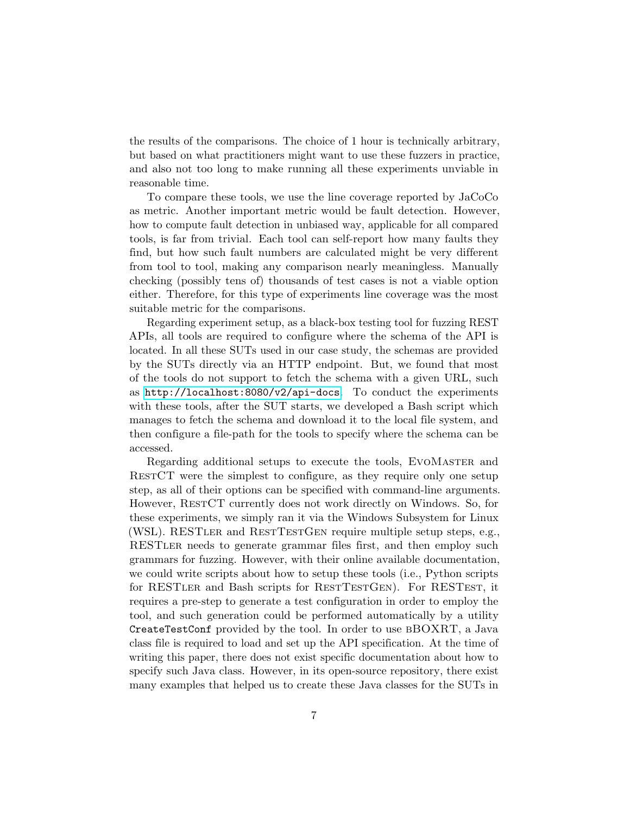the results of the comparisons. The choice of 1 hour is technically arbitrary, but based on what practitioners might want to use these fuzzers in practice, and also not too long to make running all these experiments unviable in reasonable time.

To compare these tools, we use the line coverage reported by JaCoCo as metric. Another important metric would be fault detection. However, how to compute fault detection in unbiased way, applicable for all compared tools, is far from trivial. Each tool can self-report how many faults they find, but how such fault numbers are calculated might be very different from tool to tool, making any comparison nearly meaningless. Manually checking (possibly tens of) thousands of test cases is not a viable option either. Therefore, for this type of experiments line coverage was the most suitable metric for the comparisons.

Regarding experiment setup, as a black-box testing tool for fuzzing REST APIs, all tools are required to configure where the schema of the API is located. In all these SUTs used in our case study, the schemas are provided by the SUTs directly via an HTTP endpoint. But, we found that most of the tools do not support to fetch the schema with a given URL, such as <http://localhost:8080/v2/api-docs>. To conduct the experiments with these tools, after the SUT starts, we developed a Bash script which manages to fetch the schema and download it to the local file system, and then configure a file-path for the tools to specify where the schema can be accessed.

Regarding additional setups to execute the tools, EVOMASTER and RestCT were the simplest to configure, as they require only one setup step, as all of their options can be specified with command-line arguments. However, RESTCT currently does not work directly on Windows. So, for these experiments, we simply ran it via the Windows Subsystem for Linux (WSL). RESTler and RestTestGen require multiple setup steps, e.g., RESTler needs to generate grammar files first, and then employ such grammars for fuzzing. However, with their online available documentation, we could write scripts about how to setup these tools (i.e., Python scripts for RESTLER and Bash scripts for RESTESTGEN). For RESTEST, it requires a pre-step to generate a test configuration in order to employ the tool, and such generation could be performed automatically by a utility CreateTestConf provided by the tool. In order to use bBOXRT, a Java class file is required to load and set up the API specification. At the time of writing this paper, there does not exist specific documentation about how to specify such Java class. However, in its open-source repository, there exist many examples that helped us to create these Java classes for the SUTs in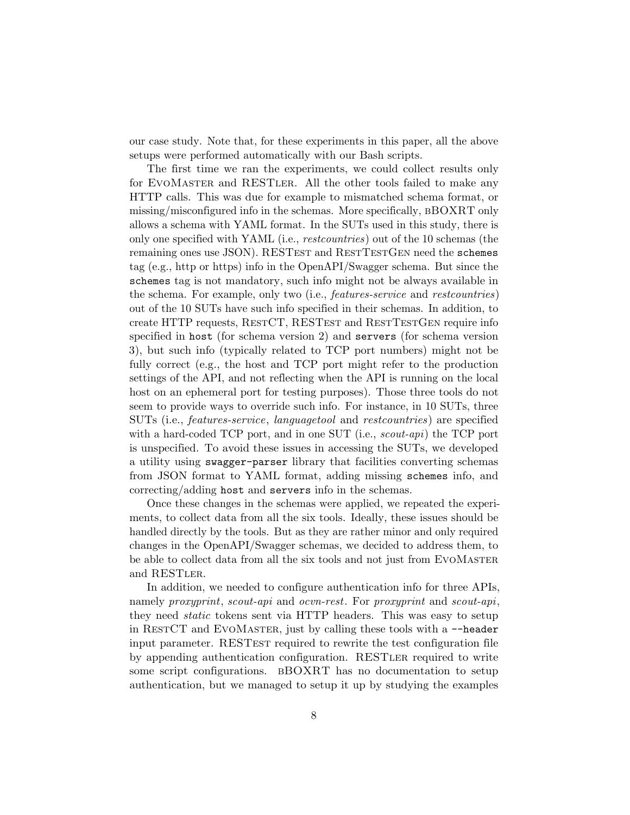our case study. Note that, for these experiments in this paper, all the above setups were performed automatically with our Bash scripts.

The first time we ran the experiments, we could collect results only for EvoMaster and RESTler. All the other tools failed to make any HTTP calls. This was due for example to mismatched schema format, or missing/misconfigured info in the schemas. More specifically, BBOXRT only allows a schema with YAML format. In the SUTs used in this study, there is only one specified with YAML (i.e., restcountries) out of the 10 schemas (the remaining ones use JSON). RESTEST and RESTTESTGEN need the schemes tag (e.g., http or https) info in the OpenAPI/Swagger schema. But since the schemes tag is not mandatory, such info might not be always available in the schema. For example, only two (i.e., features-service and restcountries) out of the 10 SUTs have such info specified in their schemas. In addition, to create HTTP requests, RESTCT, RESTEST and RESTTESTGEN require info specified in host (for schema version 2) and servers (for schema version 3), but such info (typically related to TCP port numbers) might not be fully correct (e.g., the host and TCP port might refer to the production settings of the API, and not reflecting when the API is running on the local host on an ephemeral port for testing purposes). Those three tools do not seem to provide ways to override such info. For instance, in 10 SUTs, three SUTs (i.e., features-service, languagetool and restcountries) are specified with a hard-coded TCP port, and in one SUT (i.e., scout-api) the TCP port is unspecified. To avoid these issues in accessing the SUTs, we developed a utility using swagger-parser library that facilities converting schemas from JSON format to YAML format, adding missing schemes info, and correcting/adding host and servers info in the schemas.

Once these changes in the schemas were applied, we repeated the experiments, to collect data from all the six tools. Ideally, these issues should be handled directly by the tools. But as they are rather minor and only required changes in the OpenAPI/Swagger schemas, we decided to address them, to be able to collect data from all the six tools and not just from EVOMASTER and RESTLER.

In addition, we needed to configure authentication info for three APIs, namely proxyprint, scout-api and ocvn-rest. For proxyprint and scout-api, they need *static* tokens sent via HTTP headers. This was easy to setup in RESTCT and EVOMASTER, just by calling these tools with a  $-\text{header}$ input parameter. RESTEST required to rewrite the test configuration file by appending authentication configuration. RESTler required to write some script configurations. bBOXRT has no documentation to setup authentication, but we managed to setup it up by studying the examples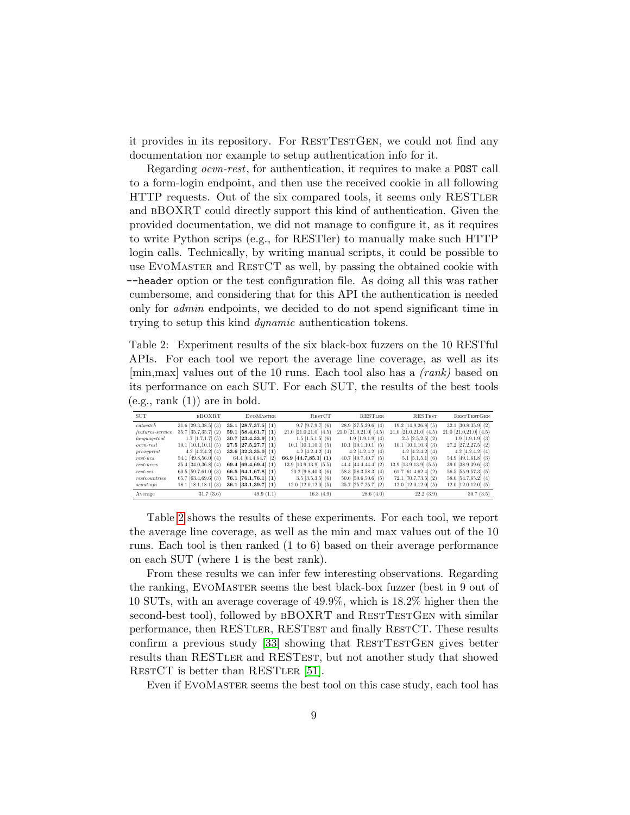it provides in its repository. For RESTTESTGEN, we could not find any documentation nor example to setup authentication info for it.

Regarding ocvn-rest, for authentication, it requires to make a POST call to a form-login endpoint, and then use the received cookie in all following HTTP requests. Out of the six compared tools, it seems only RESTLER and bBOXRT could directly support this kind of authentication. Given the provided documentation, we did not manage to configure it, as it requires to write Python scrips (e.g., for RESTler) to manually make such HTTP login calls. Technically, by writing manual scripts, it could be possible to use EVOMASTER and RESTCT as well, by passing the obtained cookie with --header option or the test configuration file. As doing all this was rather cumbersome, and considering that for this API the authentication is needed only for admin endpoints, we decided to do not spend significant time in trying to setup this kind dynamic authentication tokens.

<span id="page-8-0"></span>Table 2: Experiment results of the six black-box fuzzers on the 10 RESTful APIs. For each tool we report the average line coverage, as well as its [min,max] values out of the 10 runs. Each tool also has a (rank) based on its performance on each SUT. For each SUT, the results of the best tools  $(e.g., rank (1))$  are in bold.

| <b>SUT</b>       | <b>BBOXRT</b>              | <b>EVOMASTER</b>           | <b>RESTCT</b>                 | RESTLER                       | <b>RESTEST</b>                | <b>RESTTESTGEN</b>            |
|------------------|----------------------------|----------------------------|-------------------------------|-------------------------------|-------------------------------|-------------------------------|
| catwatch         | $31.6$ [29.3, 38.5] (3)    | $35.1$ [ $28.7,37.5$ ] (1) | $9.7$ [ $9.7.9.7$ ] (6)       | $28.9$ [27.5, 29.6] (4)       | $19.2$ [14.9,26.8] (5)        | $32.1$ [30.8, 35.9] (2)       |
| features-service | $35.7$ [ $35.7,35.7$ ] (2) | 59.1 $[58.4, 61.7]$ (1)    | $21.0$ [ $21.0, 21.0$ ] (4.5) | $21.0$ [ $21.0, 21.0$ ] (4.5) | $21.0$ [ $21.0, 21.0$ ] (4.5) | $21.0$ [ $21.0, 21.0$ ] (4.5) |
| language tool    | $1.7$ [1.7,1.7] (5)        | $30.7$ [23.4, 33.9] (1)    | $1.5$ [1.5,1.5] (6)           | $1.9$ [1.9,1.9] (4)           | $2.5$ [ $2.5, 2.5$ ] (2)      | $1.9$ [1.9,1.9] (3)           |
| $ocvn-rest$      | $10.1$ [10.1, 10.1] (5)    | $27.5$ [27.5, 27.7] (1)    | $10.1$ [10.1, 10.1] (5)       | $10.1$ [10.1, 10.1] (5)       | $10.1$ [10.1, 10.3] (3)       | $27.2$ [ $27.2, 27.5$ ] (2)   |
| proxyprint       | $4.2$ [4.2,4.2] (4)        | $33.6$ [ $32.3,35.0$ ] (1) | $4.2$ [4.2,4.2] (4)           | $4.2$ [4.2,4.2] (4)           | $4.2$ [4.2, 4.2] (4)          | $4.2$ [4.2,4.2] (4)           |
| $rest-ncs$       | $54.1$ [49.8,56.0] (4)     | $64.4$ [64.4,64.7] (2)     | 66.9 $[44.7,85.1]$ (1)        | $40.7$ [40.7, 40.7] (5)       | $5.1$ [5.1,5.1] (6)           | $54.9$ [49.1,61.8] (3)        |
| $rest-news$      | $35.4$ [34.0,36.8] (4)     | 69.4 [69.4,69.4] $(1)$     | $13.9$ [13.9, 13.9] (5.5)     | 44.4 $[44.4, 44.4]$ (2)       | $13.9$ [13.9, 13.9] (5.5)     | $39.0$ [38.9,39.6] (3)        |
| $rest-scs$       | $60.5$ [59.7,61.0] (3)     | 66.5 [64.1,67.8] $(1)$     | $20.2$ [9.8, 40.3] (6)        | $58.3$ [ $58.3.58.3$ ] (4)    | 61.7 [61.4, 62.4] $(2)$       | $56.5$ [55.9, 57.3] (5)       |
| restcountries    | $65.7$ [63.4,69.6] (3)     | $76.1$ [76.1,76.1] (1)     | $3.5$ [ $3.5,3.5$ ] (6)       | $50.6$ [50.6,50.6] (5)        | $72.1$ [70.7, 73.5] (2)       | 58.0 $[54.7,65.2]$ (4)        |
| $scout-api$      | $18.1$ [18.1, 18.1] (3)    | $36.1$ [ $33.1,39.7$ ] (1) | $12.0$ [12.0,12.0] (5)        | $25.7$ [ $25.7, 25.7$ ] (2)   | $12.0$ [12.0,12.0] (5)        | $12.0$ [12.0,12.0] (5)        |
| Average          | 31.7(3.6)                  | 49.9(1.1)                  | 16.3(4.9)                     | 28.6(4.0)                     | 22.2(3.9)                     | 30.7(3.5)                     |

Table [2](#page-8-0) shows the results of these experiments. For each tool, we report the average line coverage, as well as the min and max values out of the 10 runs. Each tool is then ranked (1 to 6) based on their average performance on each SUT (where 1 is the best rank).

From these results we can infer few interesting observations. Regarding the ranking, EvoMaster seems the best black-box fuzzer (best in 9 out of 10 SUTs, with an average coverage of 49.9%, which is 18.2% higher then the second-best tool), followed by BBOXRT and RESTTESTGEN with similar performance, then RESTLER, RESTEST and finally RESTCT. These results confirm a previous study [\[33\]](#page-27-7) showing that RESTTESTGEN gives better results than RESTler and RESTest, but not another study that showed RESTCT is better than RESTLER [\[51\]](#page-29-1).

Even if EVOMASTER seems the best tool on this case study, each tool has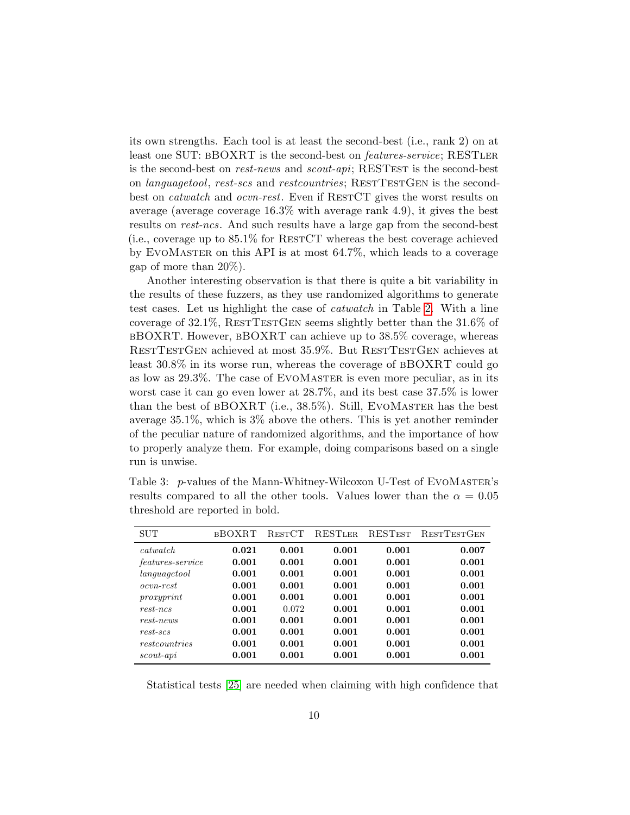its own strengths. Each tool is at least the second-best (i.e., rank 2) on at least one SUT: BBOXRT is the second-best on *features-service*; RESTLER is the second-best on rest-news and scout-api; RESTEST is the second-best on *languagetool, rest-scs* and *restcountries*; RESTTESTGEN is the secondbest on *catwatch* and *ocvn-rest*. Even if RESTCT gives the worst results on average (average coverage 16.3% with average rank 4.9), it gives the best results on rest-ncs. And such results have a large gap from the second-best  $(i.e., coverage up to 85.1\% for RESTCT whereas the best coverage achieved$ by EvoMaster on this API is at most 64.7%, which leads to a coverage gap of more than 20%).

Another interesting observation is that there is quite a bit variability in the results of these fuzzers, as they use randomized algorithms to generate test cases. Let us highlight the case of catwatch in Table [2.](#page-8-0) With a line coverage of  $32.1\%$ , RESTTESTGEN seems slightly better than the  $31.6\%$  of bBOXRT. However, bBOXRT can achieve up to 38.5% coverage, whereas RESTTESTGEN achieved at most 35.9%. But RESTTESTGEN achieves at least 30.8% in its worse run, whereas the coverage of bBOXRT could go as low as 29.3%. The case of EVOMASTER is even more peculiar, as in its worst case it can go even lower at 28.7%, and its best case 37.5% is lower than the best of  $BDOXRT$  (i.e.,  $38.5\%$ ). Still, EVOMASTER has the best average 35.1%, which is 3% above the others. This is yet another reminder of the peculiar nature of randomized algorithms, and the importance of how to properly analyze them. For example, doing comparisons based on a single run is unwise.

| <b>SUT</b>              | <b>BBOXRT</b> | <b>RESTCT</b> | <b>RESTLER</b> | <b>RESTEST</b> | <b>RESTTESTGEN</b> |
|-------------------------|---------------|---------------|----------------|----------------|--------------------|
| <i>catwatch</i>         | 0.021         | 0.001         | 0.001          | 0.001          | 0.007              |
| <i>features-service</i> | 0.001         | 0.001         | 0.001          | 0.001          | 0.001              |
| languagetool            | 0.001         | 0.001         | 0.001          | 0.001          | 0.001              |
| <i>ocvn</i> -rest       | 0.001         | 0.001         | 0.001          | 0.001          | 0.001              |
| proxyr int              | 0.001         | 0.001         | 0.001          | 0.001          | 0.001              |
| $rest-ncs$              | 0.001         | 0.072         | 0.001          | 0.001          | 0.001              |
| $rest-news$             | 0.001         | 0.001         | 0.001          | 0.001          | 0.001              |
| $rest-scs$              | 0.001         | 0.001         | 0.001          | 0.001          | 0.001              |
| restcountries           | 0.001         | 0.001         | 0.001          | 0.001          | 0.001              |
| $\mathit{scout}$ -api   | 0.001         | 0.001         | 0.001          | 0.001          | 0.001              |

<span id="page-9-0"></span>Table 3: p-values of the Mann-Whitney-Wilcoxon U-Test of EVOMASTER's results compared to all the other tools. Values lower than the  $\alpha = 0.05$ threshold are reported in bold.

Statistical tests [\[25\]](#page-26-13) are needed when claiming with high confidence that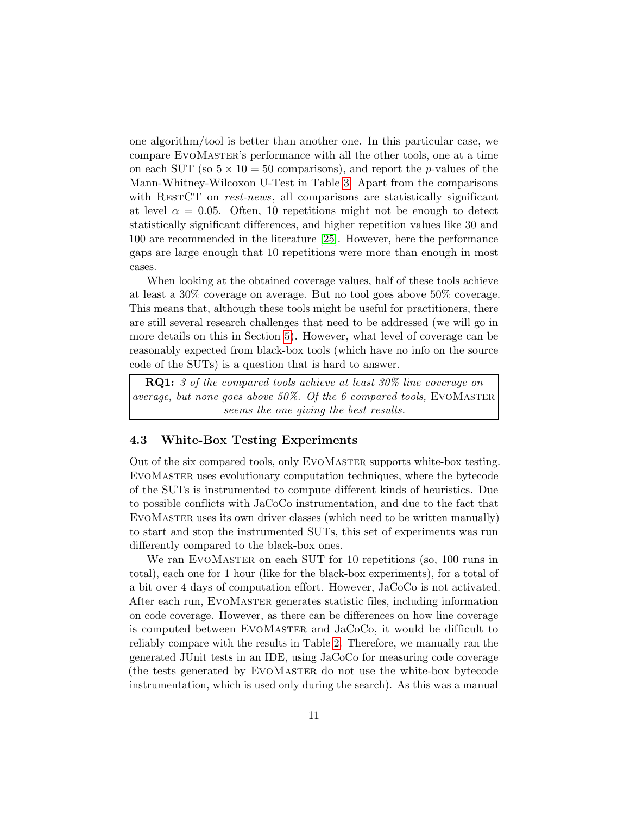one algorithm/tool is better than another one. In this particular case, we compare EvoMaster's performance with all the other tools, one at a time on each SUT (so  $5 \times 10 = 50$  comparisons), and report the *p*-values of the Mann-Whitney-Wilcoxon U-Test in Table [3.](#page-9-0) Apart from the comparisons with RESTCT on rest-news, all comparisons are statistically significant at level  $\alpha = 0.05$ . Often, 10 repetitions might not be enough to detect statistically significant differences, and higher repetition values like 30 and 100 are recommended in the literature [\[25\]](#page-26-13). However, here the performance gaps are large enough that 10 repetitions were more than enough in most cases.

When looking at the obtained coverage values, half of these tools achieve at least a 30% coverage on average. But no tool goes above 50% coverage. This means that, although these tools might be useful for practitioners, there are still several research challenges that need to be addressed (we will go in more details on this in Section [5\)](#page-12-0). However, what level of coverage can be reasonably expected from black-box tools (which have no info on the source code of the SUTs) is a question that is hard to answer.

RQ1: 3 of the compared tools achieve at least 30% line coverage on average, but none goes above  $50\%$ . Of the 6 compared tools, EVOMASTER seems the one giving the best results.

### 4.3 White-Box Testing Experiments

Out of the six compared tools, only EvoMaster supports white-box testing. EvoMaster uses evolutionary computation techniques, where the bytecode of the SUTs is instrumented to compute different kinds of heuristics. Due to possible conflicts with JaCoCo instrumentation, and due to the fact that EvoMaster uses its own driver classes (which need to be written manually) to start and stop the instrumented SUTs, this set of experiments was run differently compared to the black-box ones.

We ran EVOMASTER on each SUT for 10 repetitions (so, 100 runs in total), each one for 1 hour (like for the black-box experiments), for a total of a bit over 4 days of computation effort. However, JaCoCo is not activated. After each run, EvoMaster generates statistic files, including information on code coverage. However, as there can be differences on how line coverage is computed between EvoMaster and JaCoCo, it would be difficult to reliably compare with the results in Table [2.](#page-8-0) Therefore, we manually ran the generated JUnit tests in an IDE, using JaCoCo for measuring code coverage (the tests generated by EvoMaster do not use the white-box bytecode instrumentation, which is used only during the search). As this was a manual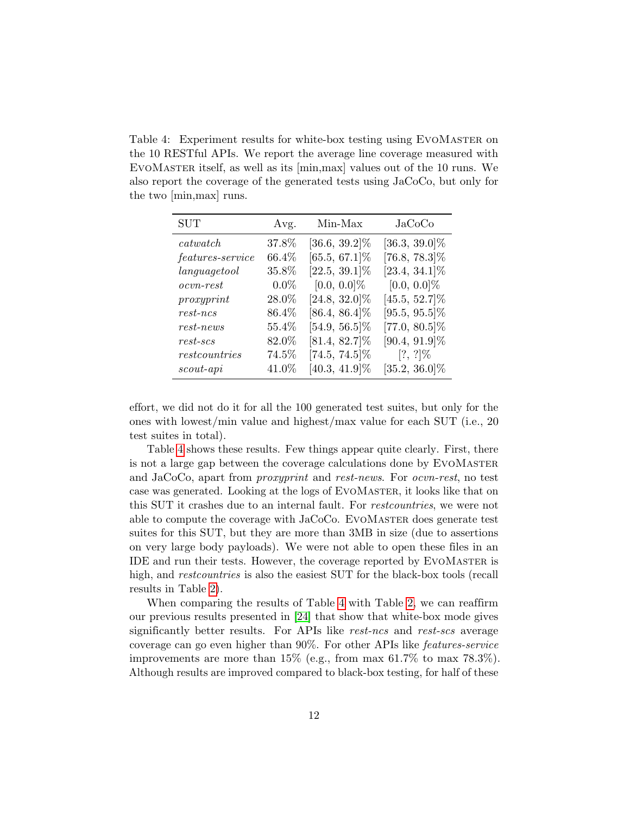<span id="page-11-0"></span>Table 4: Experiment results for white-box testing using EvoMaster on the 10 RESTful APIs. We report the average line coverage measured with EvoMaster itself, as well as its [min,max] values out of the 10 runs. We also report the coverage of the generated tests using JaCoCo, but only for the two [min,max] runs.

| SUT                                   | Avg.     | Min-Max          | $Jac_{{\rm O}}C_{{\rm O}}$ |
|---------------------------------------|----------|------------------|----------------------------|
| $\it{catwatch}$                       | 37.8%    | $[36.6, 39.2]\%$ | $[36.3, 39.0]\%$           |
| <i>features-service</i>               | 66.4%    | $[65.5, 67.1]\%$ | $[76.8, 78.3]\%$           |
| language tool                         | 35.8%    | $[22.5, 39.1]\%$ | $[23.4, 34.1]\%$           |
| $ocvn\text{-}rest$                    | $0.0\%$  | $[0.0, 0.0]\%$   | $[0.0, 0.0]\%$             |
| proxyprint                            | 28.0%    | $[24.8, 32.0]\%$ | $[45.5, 52.7]\%$           |
| $rest-ncs$                            | 86.4%    | $[86.4, 86.4]\%$ | $[95.5, 95.5]\%$           |
| $rest-news$                           | $55.4\%$ | $[54.9, 56.5]\%$ | $[77.0, 80.5]\%$           |
| $rest\text{-}scs$                     | 82.0%    | $[81.4, 82.7]\%$ | $[90.4, 91.9]\%$           |
| $\label{eq:restcount} rest countries$ | 74.5%    | $[74.5, 74.5]\%$ | $[?, ?]\%$                 |
| $\mathit{scout}$ -api                 | 41.0%    | $[40.3, 41.9]\%$ | $[35.2, 36.0]\%$           |

effort, we did not do it for all the 100 generated test suites, but only for the ones with lowest/min value and highest/max value for each SUT (i.e., 20 test suites in total).

Table [4](#page-11-0) shows these results. Few things appear quite clearly. First, there is not a large gap between the coverage calculations done by EVOMASTER and JaCoCo, apart from proxyprint and rest-news. For ocvn-rest, no test case was generated. Looking at the logs of EvoMaster, it looks like that on this SUT it crashes due to an internal fault. For restcountries, we were not able to compute the coverage with JaCoCo. EvoMaster does generate test suites for this SUT, but they are more than 3MB in size (due to assertions on very large body payloads). We were not able to open these files in an IDE and run their tests. However, the coverage reported by EvoMaster is high, and *restcountries* is also the easiest SUT for the black-box tools (recall results in Table [2\)](#page-8-0).

When comparing the results of Table [4](#page-11-0) with Table [2,](#page-8-0) we can reaffirm our previous results presented in [\[24\]](#page-26-6) that show that white-box mode gives significantly better results. For APIs like rest-ncs and rest-scs average coverage can go even higher than 90%. For other APIs like features-service improvements are more than 15% (e.g., from max 61.7% to max 78.3%). Although results are improved compared to black-box testing, for half of these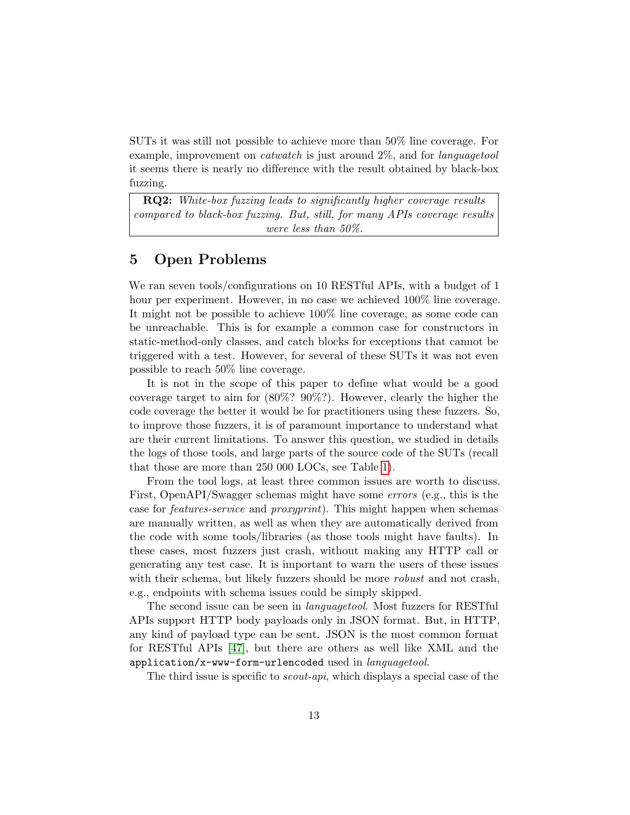SUTs it was still not possible to achieve more than 50% line coverage. For example, improvement on catwatch is just around 2%, and for languagetool it seems there is nearly no difference with the result obtained by black-box fuzzing.

**RQ2:** White-box fuzzing leads to significantly higher coverage results compared to black-box fuzzing. But, still, for many APIs coverage results were less than 50%.

### <span id="page-12-0"></span>5 Open Problems

We ran seven tools/configurations on 10 RESTful APIs, with a budget of 1 hour per experiment. However, in no case we achieved 100% line coverage. It might not be possible to achieve 100% line coverage, as some code can be unreachable. This is for example a common case for constructors in static-method-only classes, and catch blocks for exceptions that cannot be triggered with a test. However, for several of these SUTs it was not even possible to reach 50% line coverage.

It is not in the scope of this paper to define what would be a good coverage target to aim for (80%? 90%?). However, clearly the higher the code coverage the better it would be for practitioners using these fuzzers. So, to improve those fuzzers, it is of paramount importance to understand what are their current limitations. To answer this question, we studied in details the logs of those tools, and large parts of the source code of the SUTs (recall that those are more than 250 000 LOCs, see Table [1\)](#page-4-0).

From the tool logs, at least three common issues are worth to discuss. First, OpenAPI/Swagger schemas might have some errors (e.g., this is the case for features-service and proxyprint). This might happen when schemas are manually written, as well as when they are automatically derived from the code with some tools/libraries (as those tools might have faults). In these cases, most fuzzers just crash, without making any HTTP call or generating any test case. It is important to warn the users of these issues with their schema, but likely fuzzers should be more *robust* and not crash, e.g., endpoints with schema issues could be simply skipped.

The second issue can be seen in languagetool. Most fuzzers for RESTful APIs support HTTP body payloads only in JSON format. But, in HTTP, any kind of payload type can be sent. JSON is the most common format for RESTful APIs [\[47\]](#page-29-9), but there are others as well like XML and the application/x-www-form-urlencoded used in  $language tool$ .

The third issue is specific to *scout-api*, which displays a special case of the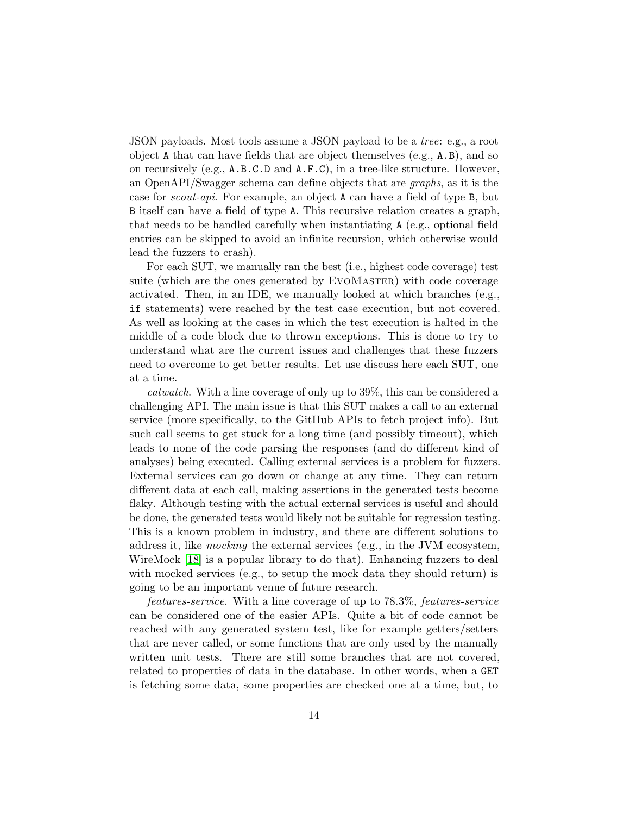JSON payloads. Most tools assume a JSON payload to be a tree: e.g., a root object A that can have fields that are object themselves (e.g., A.B), and so on recursively (e.g., A.B.C.D and A.F.C), in a tree-like structure. However, an OpenAPI/Swagger schema can define objects that are graphs, as it is the case for scout-api. For example, an object A can have a field of type B, but B itself can have a field of type A. This recursive relation creates a graph, that needs to be handled carefully when instantiating A (e.g., optional field entries can be skipped to avoid an infinite recursion, which otherwise would lead the fuzzers to crash).

For each SUT, we manually ran the best (i.e., highest code coverage) test suite (which are the ones generated by EVOMASTER) with code coverage activated. Then, in an IDE, we manually looked at which branches  $(e.g.,)$ if statements) were reached by the test case execution, but not covered. As well as looking at the cases in which the test execution is halted in the middle of a code block due to thrown exceptions. This is done to try to understand what are the current issues and challenges that these fuzzers need to overcome to get better results. Let use discuss here each SUT, one at a time.

catwatch. With a line coverage of only up to 39%, this can be considered a challenging API. The main issue is that this SUT makes a call to an external service (more specifically, to the GitHub APIs to fetch project info). But such call seems to get stuck for a long time (and possibly timeout), which leads to none of the code parsing the responses (and do different kind of analyses) being executed. Calling external services is a problem for fuzzers. External services can go down or change at any time. They can return different data at each call, making assertions in the generated tests become flaky. Although testing with the actual external services is useful and should be done, the generated tests would likely not be suitable for regression testing. This is a known problem in industry, and there are different solutions to address it, like mocking the external services (e.g., in the JVM ecosystem, WireMock [\[18\]](#page-26-14) is a popular library to do that). Enhancing fuzzers to deal with mocked services (e.g., to setup the mock data they should return) is going to be an important venue of future research.

features-service. With a line coverage of up to 78.3%, features-service can be considered one of the easier APIs. Quite a bit of code cannot be reached with any generated system test, like for example getters/setters that are never called, or some functions that are only used by the manually written unit tests. There are still some branches that are not covered, related to properties of data in the database. In other words, when a GET is fetching some data, some properties are checked one at a time, but, to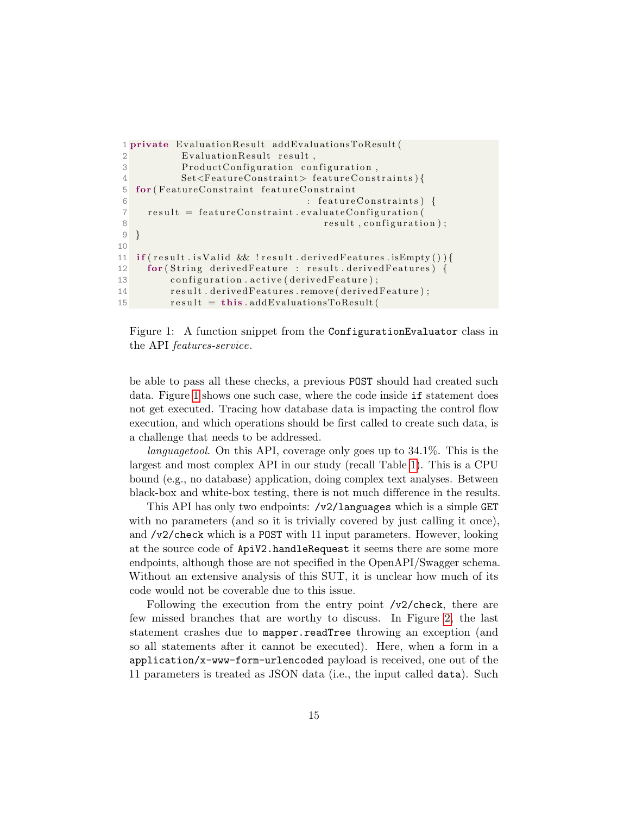```
1 private EvaluationResult addEvaluationsToResult (
2 Evaluation Result result,
3 ProductConfiguration configuration,
4 Set<FeatureConstraint> featureConstraints){
5 for (FeatureConstraint featureConstraint
6 : feature Constraints ) {
7 result = featureConstraint.evaluateConfiguration (
8 result, configuration);
9 }
10
11 if (result . is Valid && ! result . derived Features . is Empty () ) {
12 for (String derived Feature : result . derived Features) {
13 configuration. active (derived Feature);
14 result . derived Features . remove (derived Feature);
15 result = this . addEvaluationsToResult (
```


be able to pass all these checks, a previous POST should had created such data. Figure [1](#page-14-0) shows one such case, where the code inside if statement does not get executed. Tracing how database data is impacting the control flow execution, and which operations should be first called to create such data, is a challenge that needs to be addressed.

languagetool. On this API, coverage only goes up to 34.1%. This is the largest and most complex API in our study (recall Table [1\)](#page-4-0). This is a CPU bound (e.g., no database) application, doing complex text analyses. Between black-box and white-box testing, there is not much difference in the results.

This API has only two endpoints: /v2/languages which is a simple GET with no parameters (and so it is trivially covered by just calling it once), and /v2/check which is a POST with 11 input parameters. However, looking at the source code of ApiV2.handleRequest it seems there are some more endpoints, although those are not specified in the OpenAPI/Swagger schema. Without an extensive analysis of this SUT, it is unclear how much of its code would not be coverable due to this issue.

Following the execution from the entry point /v2/check, there are few missed branches that are worthy to discuss. In Figure [2,](#page-15-0) the last statement crashes due to mapper.readTree throwing an exception (and so all statements after it cannot be executed). Here, when a form in a application/x-www-form-urlencoded payload is received, one out of the 11 parameters is treated as JSON data (i.e., the input called data). Such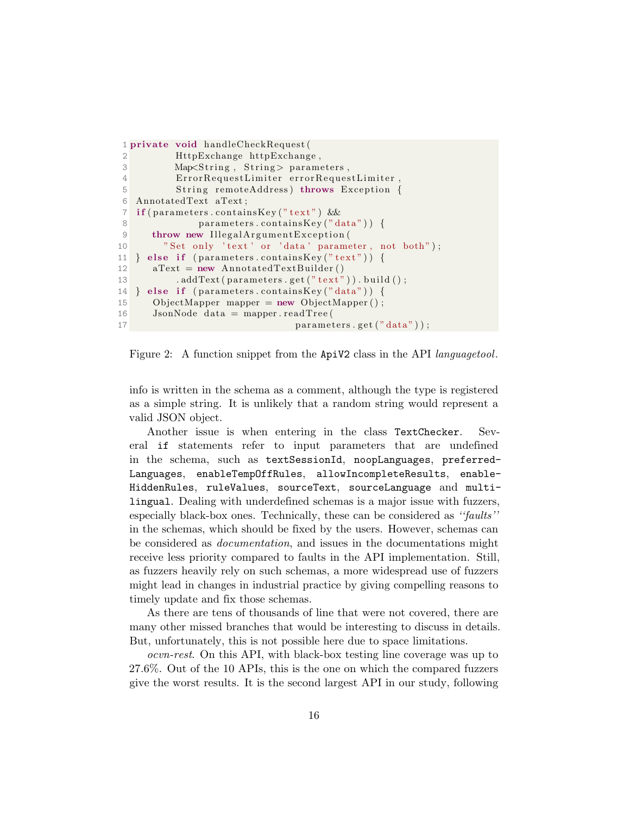```
1 private void handleCheckRequest (
2 HttpExchange httpExchange ,
3 Map<String, String> parameters,
4 ErrorRequestLimiter errorRequestLimiter,
5 String remoteAddress) throws Exception {
6 AnnotatedText aText ;
7 if (parameters.containsKey ("text") & &
8 parameters.containsKey("data")) {
9 throw new IllegalArgumentException (
10 "Set only 'text' or 'data' parameter, not both");
11 } else if {\rm (parameters.containsKey("text")) {\rm \{}}12 aText = new AnnotatedTextBuilder ()
13 . addText ( parameters . get (" text") ) . build ( );
14 } else if (parenter s. containsKey("data")) {
15 ObjectMapper mapper = new ObjectMapper ();
16 JsonNode data = mapper readTree (
17 parameters.get ("data"));
```
Figure 2: A function snippet from the ApiV2 class in the API languagetool.

info is written in the schema as a comment, although the type is registered as a simple string. It is unlikely that a random string would represent a valid JSON object.

Another issue is when entering in the class TextChecker. Several if statements refer to input parameters that are undefined in the schema, such as textSessionId, noopLanguages, preferred-Languages, enableTempOffRules, allowIncompleteResults, enable-HiddenRules, ruleValues, sourceText, sourceLanguage and multilingual. Dealing with underdefined schemas is a major issue with fuzzers, especially black-box ones. Technically, these can be considered as ''faults'' in the schemas, which should be fixed by the users. However, schemas can be considered as documentation, and issues in the documentations might receive less priority compared to faults in the API implementation. Still, as fuzzers heavily rely on such schemas, a more widespread use of fuzzers might lead in changes in industrial practice by giving compelling reasons to timely update and fix those schemas.

As there are tens of thousands of line that were not covered, there are many other missed branches that would be interesting to discuss in details. But, unfortunately, this is not possible here due to space limitations.

ocvn-rest. On this API, with black-box testing line coverage was up to 27.6%. Out of the 10 APIs, this is the one on which the compared fuzzers give the worst results. It is the second largest API in our study, following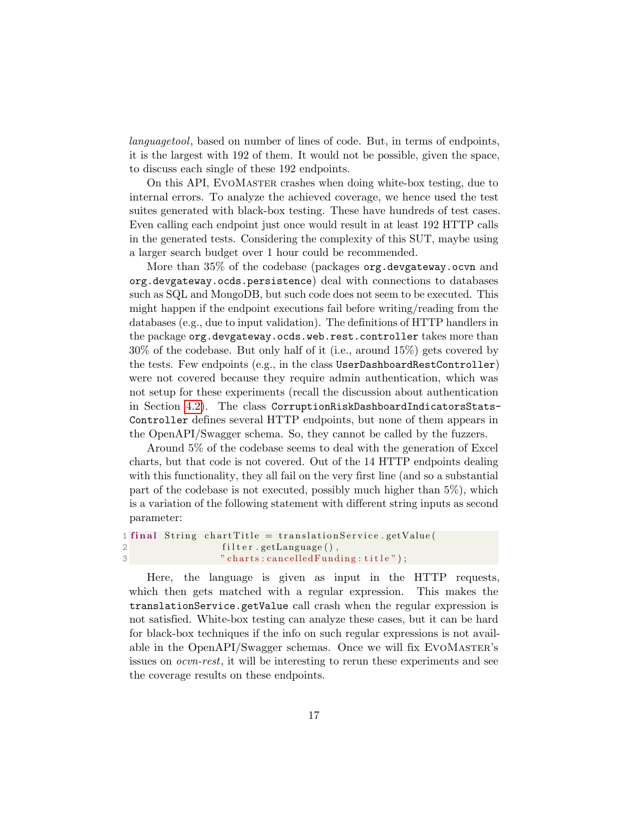languagetool, based on number of lines of code. But, in terms of endpoints, it is the largest with 192 of them. It would not be possible, given the space, to discuss each single of these 192 endpoints.

On this API, EvoMaster crashes when doing white-box testing, due to internal errors. To analyze the achieved coverage, we hence used the test suites generated with black-box testing. These have hundreds of test cases. Even calling each endpoint just once would result in at least 192 HTTP calls in the generated tests. Considering the complexity of this SUT, maybe using a larger search budget over 1 hour could be recommended.

More than 35% of the codebase (packages org.devgateway.ocvn and org.devgateway.ocds.persistence) deal with connections to databases such as SQL and MongoDB, but such code does not seem to be executed. This might happen if the endpoint executions fail before writing/reading from the databases (e.g., due to input validation). The definitions of HTTP handlers in the package org.devgateway.ocds.web.rest.controller takes more than 30% of the codebase. But only half of it (i.e., around 15%) gets covered by the tests. Few endpoints (e.g., in the class UserDashboardRestController) were not covered because they require admin authentication, which was not setup for these experiments (recall the discussion about authentication in Section [4.2\)](#page-5-0). The class CorruptionRiskDashboardIndicatorsStats-Controller defines several HTTP endpoints, but none of them appears in the OpenAPI/Swagger schema. So, they cannot be called by the fuzzers.

Around 5% of the codebase seems to deal with the generation of Excel charts, but that code is not covered. Out of the 14 HTTP endpoints dealing with this functionality, they all fail on the very first line (and so a substantial part of the codebase is not executed, possibly much higher than 5%), which is a variation of the following statement with different string inputs as second parameter:

```
1 final String chart Title = translation Service . get Value (
2 filter.getLanguage(),
3 " charts: cancelled Funding: title");
```
Here, the language is given as input in the HTTP requests, which then gets matched with a regular expression. This makes the translationService.getValue call crash when the regular expression is not satisfied. White-box testing can analyze these cases, but it can be hard for black-box techniques if the info on such regular expressions is not available in the OpenAPI/Swagger schemas. Once we will fix EVOMASTER's issues on ocvn-rest, it will be interesting to rerun these experiments and see the coverage results on these endpoints.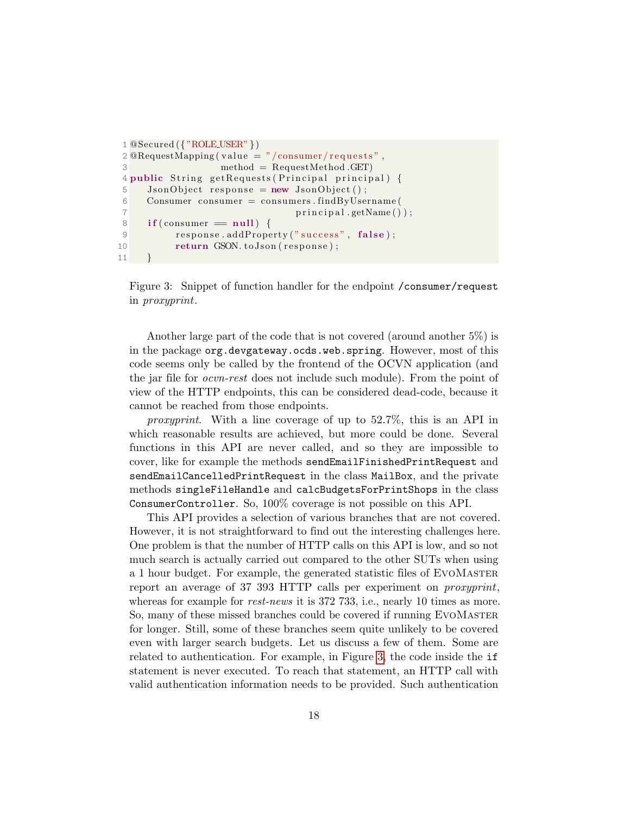```
1 \text{ @Secured}(\{ \text{"ROLE_USER"} \})2 \n Q\nReguestMapping (value = "/ consumer/requests",3 method = RequestMethod .GET)
4 public String getRequests (Principal principal) {
5 JsonObject response = new JsonObject();
6 Consumer consumer = consumers . findByUsername (
7 principal.getName());
8 if (consumer = null) {
9 response.addProperty ("success", false);
10 return GSON. to Json (response);
11 }
```
Figure 3: Snippet of function handler for the endpoint /consumer/request in proxyprint.

Another large part of the code that is not covered (around another 5%) is in the package org.devgateway.ocds.web.spring. However, most of this code seems only be called by the frontend of the OCVN application (and the jar file for ocvn-rest does not include such module). From the point of view of the HTTP endpoints, this can be considered dead-code, because it cannot be reached from those endpoints.

proxyprint. With a line coverage of up to 52.7%, this is an API in which reasonable results are achieved, but more could be done. Several functions in this API are never called, and so they are impossible to cover, like for example the methods sendEmailFinishedPrintRequest and sendEmailCancelledPrintRequest in the class MailBox, and the private methods singleFileHandle and calcBudgetsForPrintShops in the class ConsumerController. So, 100% coverage is not possible on this API.

This API provides a selection of various branches that are not covered. However, it is not straightforward to find out the interesting challenges here. One problem is that the number of HTTP calls on this API is low, and so not much search is actually carried out compared to the other SUTs when using a 1 hour budget. For example, the generated statistic files of EvoMaster report an average of 37 393 HTTP calls per experiment on proxyprint, whereas for example for *rest-news* it is 372 733, i.e., nearly 10 times as more. So, many of these missed branches could be covered if running EvoMaster for longer. Still, some of these branches seem quite unlikely to be covered even with larger search budgets. Let us discuss a few of them. Some are related to authentication. For example, in Figure [3,](#page-17-0) the code inside the if statement is never executed. To reach that statement, an HTTP call with valid authentication information needs to be provided. Such authentication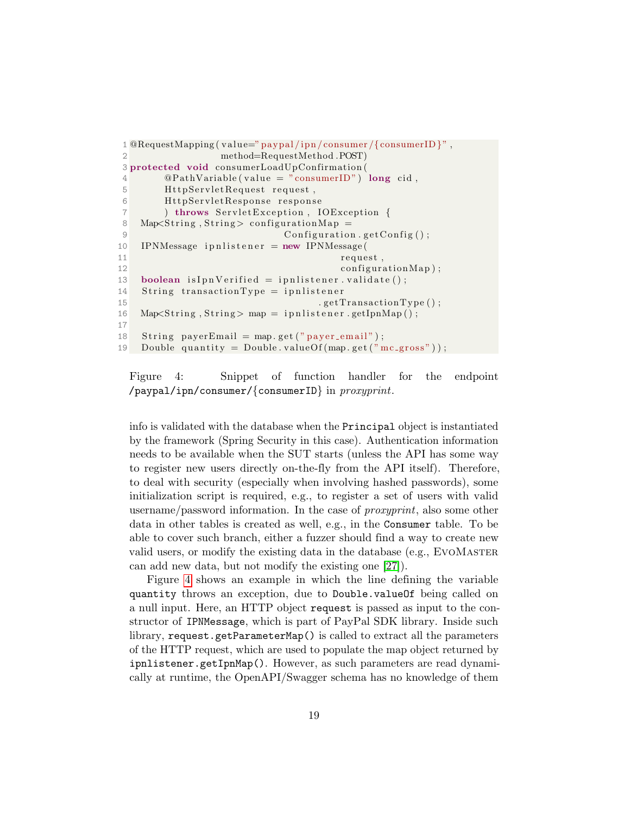```
1 \OmegaRequestMapping (value="paypal/ipn/consumer/{consumerID}",
2 method=RequestMethod .POST)
3 protected void consumerLoadUpConfirmation (
4 \qquad \qquad \textcircled{PathVariable (value = "consumerID") long cid },5 HttpServletRequest request,
6 HttpServletResponse response
7 ) throws ServletException, IOException {
8 Map\leqString, String > configurationMap =
9 Configuration . get Config ();
10 IPNMessage ipnlistener = new IPNMessage (
11 request,
12 configuration Map);
13 boolean is Ipn Verified = ipn listener. validate();
14 String transaction Type = ipnlistener
15 . getTransactionType();
16 Map\leqString, String > map = ipnlistener.getIpnMap();
17
18 String payerEmail = map.get ("payer-email");
19 Double quantity = Double. valueOf (\text{map.get}(\text{''mc-gross''}));
```
Figure 4: Snippet of function handler for the endpoint /paypal/ipn/consumer/{consumerID} in proxyprint.

info is validated with the database when the Principal object is instantiated by the framework (Spring Security in this case). Authentication information needs to be available when the SUT starts (unless the API has some way to register new users directly on-the-fly from the API itself). Therefore, to deal with security (especially when involving hashed passwords), some initialization script is required, e.g., to register a set of users with valid username/password information. In the case of proxyprint, also some other data in other tables is created as well, e.g., in the Consumer table. To be able to cover such branch, either a fuzzer should find a way to create new valid users, or modify the existing data in the database (e.g., EvoMaster can add new data, but not modify the existing one [\[27\]](#page-27-9)).

Figure [4](#page-18-0) shows an example in which the line defining the variable quantity throws an exception, due to Double.valueOf being called on a null input. Here, an HTTP object request is passed as input to the constructor of IPNMessage, which is part of PayPal SDK library. Inside such library, request.getParameterMap() is called to extract all the parameters of the HTTP request, which are used to populate the map object returned by ipnlistener.getIpnMap(). However, as such parameters are read dynamically at runtime, the OpenAPI/Swagger schema has no knowledge of them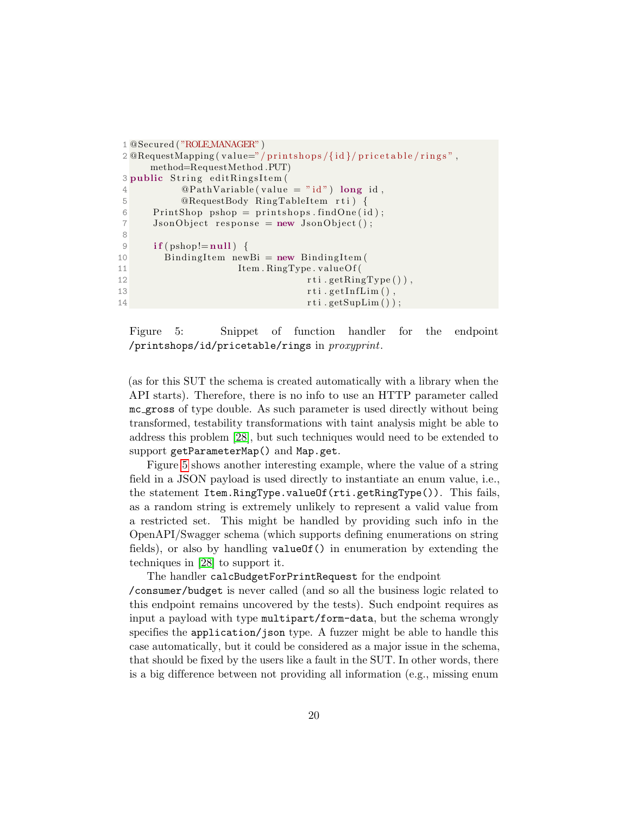```
1 @Secured ( "ROLE MANAGER" )
2 \mathbb{Q}RequestMapping (value="/printshops/{id}/pricetable/rings",
     method=RequestMethod .PUT)
3 public String editRingsItem (
4 \qquad \qquad \textcircled{9} \text{PathVariable (value = "id") long id },5 @RequestBody RingTableItem rti) {
6 PrintShop pshop = printshops.findOne(id);
7 JsonObject response = new JsonObject();
8
9 if (pshop!=null)10 Binding Item new Bi = new Binding Item (
11 Item . RingType . valueOf (
12 rti . getRingType (),
13 rti.getInfLim (),
14 rti.getSupLim ());
```
Figure 5: Snippet of function handler for the endpoint /printshops/id/pricetable/rings in proxyprint.

(as for this SUT the schema is created automatically with a library when the API starts). Therefore, there is no info to use an HTTP parameter called mc gross of type double. As such parameter is used directly without being transformed, testability transformations with taint analysis might be able to address this problem [\[28\]](#page-27-3), but such techniques would need to be extended to support getParameterMap() and Map.get.

Figure [5](#page-19-0) shows another interesting example, where the value of a string field in a JSON payload is used directly to instantiate an enum value, i.e., the statement Item.RingType.valueOf(rti.getRingType()). This fails, as a random string is extremely unlikely to represent a valid value from a restricted set. This might be handled by providing such info in the OpenAPI/Swagger schema (which supports defining enumerations on string fields), or also by handling valueOf() in enumeration by extending the techniques in [\[28\]](#page-27-3) to support it.

The handler calcBudgetForPrintRequest for the endpoint

/consumer/budget is never called (and so all the business logic related to this endpoint remains uncovered by the tests). Such endpoint requires as input a payload with type multipart/form-data, but the schema wrongly specifies the application/json type. A fuzzer might be able to handle this case automatically, but it could be considered as a major issue in the schema, that should be fixed by the users like a fault in the SUT. In other words, there is a big difference between not providing all information (e.g., missing enum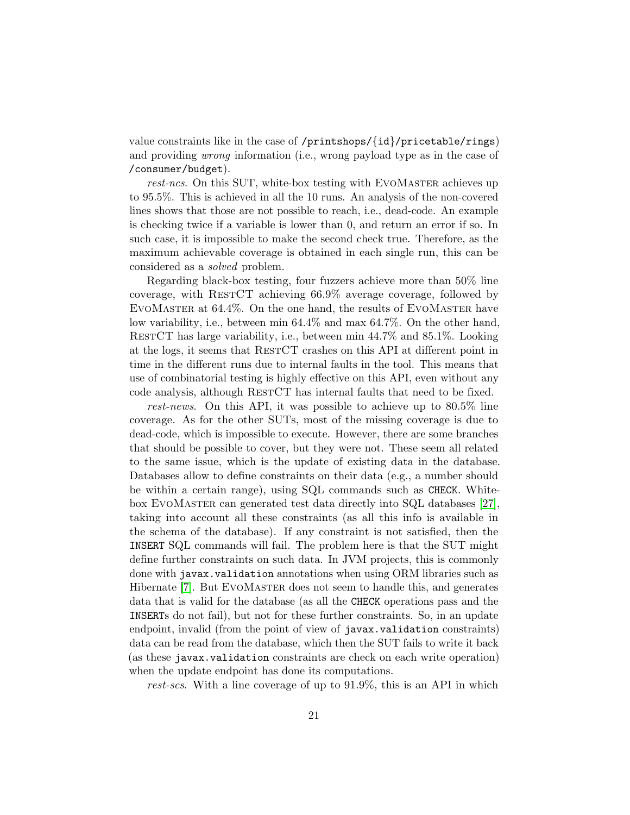value constraints like in the case of /printshops/{id}/pricetable/rings) and providing wrong information (i.e., wrong payload type as in the case of /consumer/budget).

rest-ncs. On this SUT, white-box testing with EVOMASTER achieves up to 95.5%. This is achieved in all the 10 runs. An analysis of the non-covered lines shows that those are not possible to reach, i.e., dead-code. An example is checking twice if a variable is lower than 0, and return an error if so. In such case, it is impossible to make the second check true. Therefore, as the maximum achievable coverage is obtained in each single run, this can be considered as a solved problem.

Regarding black-box testing, four fuzzers achieve more than 50% line coverage, with RestCT achieving 66.9% average coverage, followed by EvoMaster at 64.4%. On the one hand, the results of EvoMaster have low variability, i.e., between min 64.4% and max 64.7%. On the other hand, RestCT has large variability, i.e., between min 44.7% and 85.1%. Looking at the logs, it seems that RESTCT crashes on this API at different point in time in the different runs due to internal faults in the tool. This means that use of combinatorial testing is highly effective on this API, even without any code analysis, although RESTCT has internal faults that need to be fixed.

rest-news. On this API, it was possible to achieve up to 80.5% line coverage. As for the other SUTs, most of the missing coverage is due to dead-code, which is impossible to execute. However, there are some branches that should be possible to cover, but they were not. These seem all related to the same issue, which is the update of existing data in the database. Databases allow to define constraints on their data (e.g., a number should be within a certain range), using SQL commands such as CHECK. Whitebox EvoMaster can generated test data directly into SQL databases [\[27\]](#page-27-9), taking into account all these constraints (as all this info is available in the schema of the database). If any constraint is not satisfied, then the INSERT SQL commands will fail. The problem here is that the SUT might define further constraints on such data. In JVM projects, this is commonly done with javax.validation annotations when using ORM libraries such as Hibernate [\[7\]](#page-25-9). But EVOMASTER does not seem to handle this, and generates data that is valid for the database (as all the CHECK operations pass and the INSERTs do not fail), but not for these further constraints. So, in an update endpoint, invalid (from the point of view of javax.validation constraints) data can be read from the database, which then the SUT fails to write it back (as these javax.validation constraints are check on each write operation) when the update endpoint has done its computations.

rest-scs. With a line coverage of up to 91.9%, this is an API in which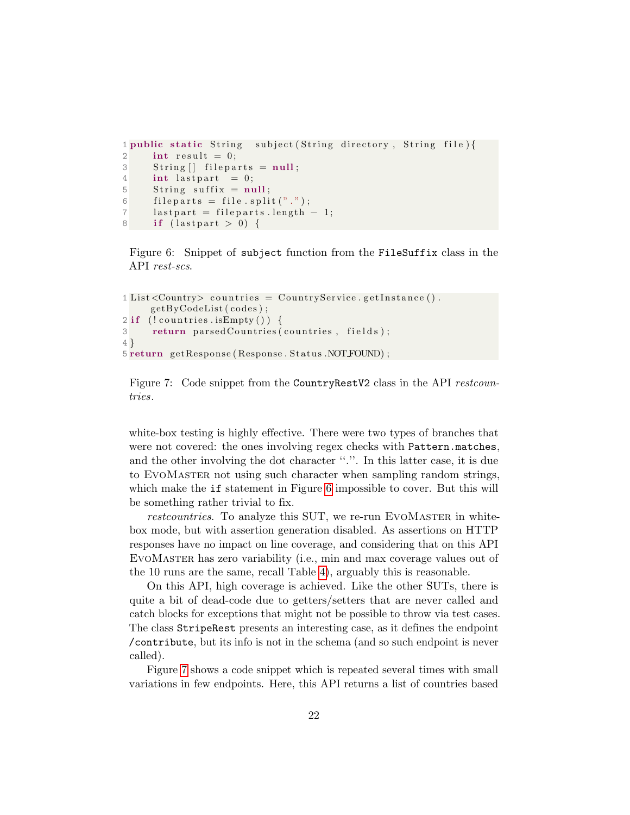```
1 public static String subject (String directory, String file) {
2 int result = 0;
3 String \left| \right| fileparts = null;
4 int last part = 0;
5 String suffix = null;
6 fileparts = file.split(".");
7 lastpart = fileparts.length - 1;
8 if \left(\text{lastpart} > 0\right) {
```
Figure 6: Snippet of subject function from the FileSuffix class in the API rest-scs.

```
1 List < Country > countries = Country Service . get Instance ().
     getByCodeList (codes);2 if ( ! countries . is Empty () )
3 return parsed Countries (countries, fields);
4 }
5 return getResponse (Response . Status .NOT FOUND);
```
Figure 7: Code snippet from the CountryRestV2 class in the API restcountries.

white-box testing is highly effective. There were two types of branches that were not covered: the ones involving regex checks with Pattern.matches, and the other involving the dot character ''.''. In this latter case, it is due to EvoMaster not using such character when sampling random strings, which make the **if** statement in Figure [6](#page-21-0) impossible to cover. But this will be something rather trivial to fix.

restcountries. To analyze this SUT, we re-run EVOMASTER in whitebox mode, but with assertion generation disabled. As assertions on HTTP responses have no impact on line coverage, and considering that on this API EvoMaster has zero variability (i.e., min and max coverage values out of the 10 runs are the same, recall Table [4\)](#page-11-0), arguably this is reasonable.

On this API, high coverage is achieved. Like the other SUTs, there is quite a bit of dead-code due to getters/setters that are never called and catch blocks for exceptions that might not be possible to throw via test cases. The class StripeRest presents an interesting case, as it defines the endpoint /contribute, but its info is not in the schema (and so such endpoint is never called).

Figure [7](#page-21-1) shows a code snippet which is repeated several times with small variations in few endpoints. Here, this API returns a list of countries based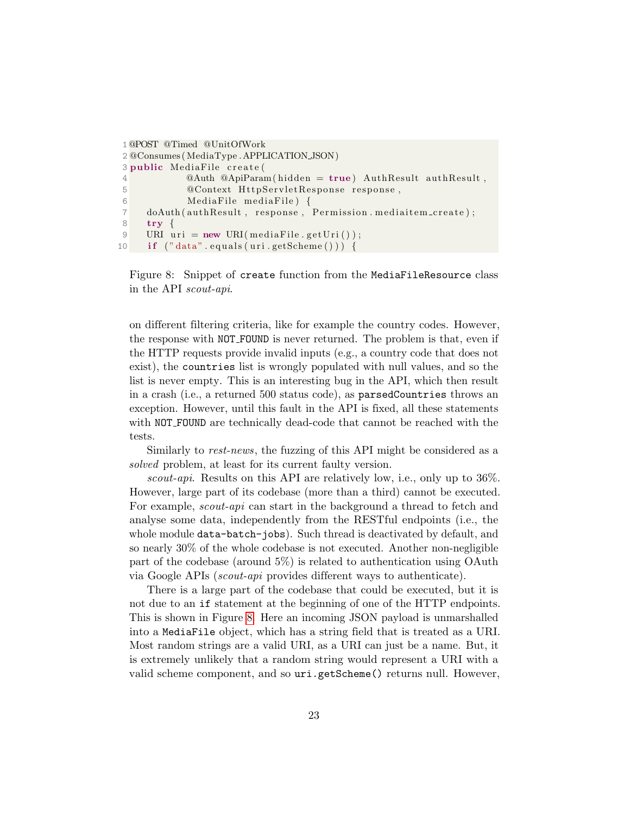```
1@POST @Timed @UnitOfWork
2 @Consumes (MediaType . APPLICATION JSON)
3 public MediaFile create (
4 @Auth @ApiParam (hidden = true) AuthResult authResult,
5 © Context HttpServletResponse response,
6 MediaFile mediaFile) {
7 doAuth ( authResult, response, Permission . mediaitem_create);
8 try {
9 URI uri = new URI(mediaFile.getUri());
10 if ("data".equals(uri.getScheme()) {
```
Figure 8: Snippet of create function from the MediaFileResource class in the API scout-api.

on different filtering criteria, like for example the country codes. However, the response with NOT FOUND is never returned. The problem is that, even if the HTTP requests provide invalid inputs (e.g., a country code that does not exist), the countries list is wrongly populated with null values, and so the list is never empty. This is an interesting bug in the API, which then result in a crash (i.e., a returned 500 status code), as parsedCountries throws an exception. However, until this fault in the API is fixed, all these statements with NOT\_FOUND are technically dead-code that cannot be reached with the tests.

Similarly to rest-news, the fuzzing of this API might be considered as a solved problem, at least for its current faulty version.

scout-api. Results on this API are relatively low, i.e., only up to 36%. However, large part of its codebase (more than a third) cannot be executed. For example, scout-api can start in the background a thread to fetch and analyse some data, independently from the RESTful endpoints (i.e., the whole module data-batch-jobs). Such thread is deactivated by default, and so nearly 30% of the whole codebase is not executed. Another non-negligible part of the codebase (around 5%) is related to authentication using OAuth via Google APIs (scout-api provides different ways to authenticate).

There is a large part of the codebase that could be executed, but it is not due to an if statement at the beginning of one of the HTTP endpoints. This is shown in Figure [8.](#page-22-0) Here an incoming JSON payload is unmarshalled into a MediaFile object, which has a string field that is treated as a URI. Most random strings are a valid URI, as a URI can just be a name. But, it is extremely unlikely that a random string would represent a URI with a valid scheme component, and so uri.getScheme() returns null. However,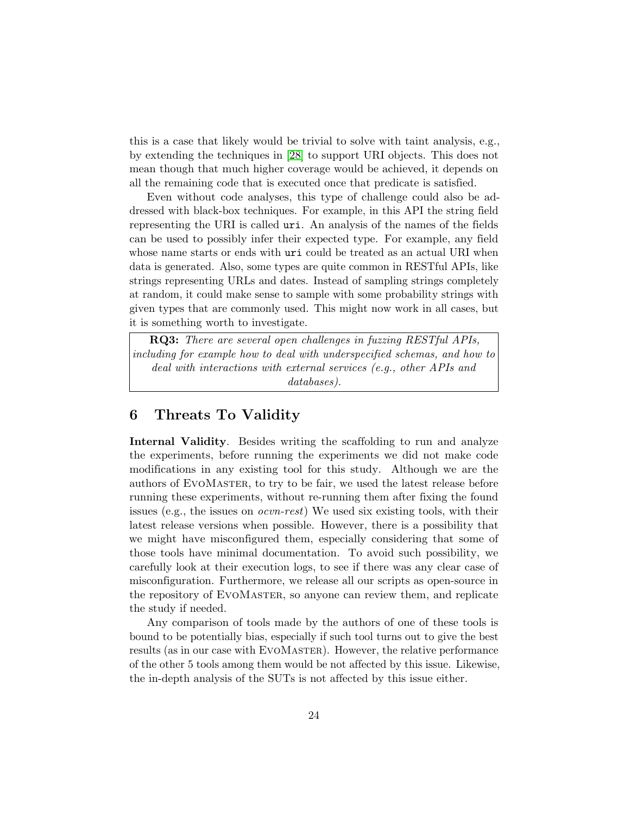this is a case that likely would be trivial to solve with taint analysis, e.g., by extending the techniques in [\[28\]](#page-27-3) to support URI objects. This does not mean though that much higher coverage would be achieved, it depends on all the remaining code that is executed once that predicate is satisfied.

Even without code analyses, this type of challenge could also be addressed with black-box techniques. For example, in this API the string field representing the URI is called uri. An analysis of the names of the fields can be used to possibly infer their expected type. For example, any field whose name starts or ends with uri could be treated as an actual URI when data is generated. Also, some types are quite common in RESTful APIs, like strings representing URLs and dates. Instead of sampling strings completely at random, it could make sense to sample with some probability strings with given types that are commonly used. This might now work in all cases, but it is something worth to investigate.

RQ3: There are several open challenges in fuzzing RESTful APIs, including for example how to deal with underspecified schemas, and how to deal with interactions with external services (e.g., other APIs and databases).

## 6 Threats To Validity

Internal Validity. Besides writing the scaffolding to run and analyze the experiments, before running the experiments we did not make code modifications in any existing tool for this study. Although we are the authors of EvoMaster, to try to be fair, we used the latest release before running these experiments, without re-running them after fixing the found issues (e.g., the issues on ocvn-rest) We used six existing tools, with their latest release versions when possible. However, there is a possibility that we might have misconfigured them, especially considering that some of those tools have minimal documentation. To avoid such possibility, we carefully look at their execution logs, to see if there was any clear case of misconfiguration. Furthermore, we release all our scripts as open-source in the repository of EvoMaster, so anyone can review them, and replicate the study if needed.

Any comparison of tools made by the authors of one of these tools is bound to be potentially bias, especially if such tool turns out to give the best results (as in our case with EVOMASTER). However, the relative performance of the other 5 tools among them would be not affected by this issue. Likewise, the in-depth analysis of the SUTs is not affected by this issue either.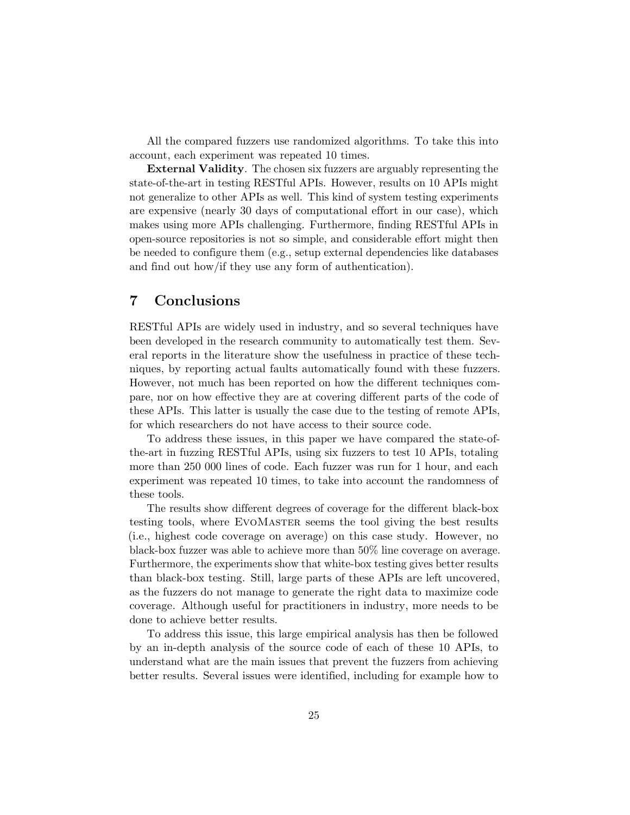All the compared fuzzers use randomized algorithms. To take this into account, each experiment was repeated 10 times.

External Validity. The chosen six fuzzers are arguably representing the state-of-the-art in testing RESTful APIs. However, results on 10 APIs might not generalize to other APIs as well. This kind of system testing experiments are expensive (nearly 30 days of computational effort in our case), which makes using more APIs challenging. Furthermore, finding RESTful APIs in open-source repositories is not so simple, and considerable effort might then be needed to configure them (e.g., setup external dependencies like databases and find out how/if they use any form of authentication).

### 7 Conclusions

RESTful APIs are widely used in industry, and so several techniques have been developed in the research community to automatically test them. Several reports in the literature show the usefulness in practice of these techniques, by reporting actual faults automatically found with these fuzzers. However, not much has been reported on how the different techniques compare, nor on how effective they are at covering different parts of the code of these APIs. This latter is usually the case due to the testing of remote APIs, for which researchers do not have access to their source code.

To address these issues, in this paper we have compared the state-ofthe-art in fuzzing RESTful APIs, using six fuzzers to test 10 APIs, totaling more than 250 000 lines of code. Each fuzzer was run for 1 hour, and each experiment was repeated 10 times, to take into account the randomness of these tools.

The results show different degrees of coverage for the different black-box testing tools, where EvoMaster seems the tool giving the best results (i.e., highest code coverage on average) on this case study. However, no black-box fuzzer was able to achieve more than 50% line coverage on average. Furthermore, the experiments show that white-box testing gives better results than black-box testing. Still, large parts of these APIs are left uncovered, as the fuzzers do not manage to generate the right data to maximize code coverage. Although useful for practitioners in industry, more needs to be done to achieve better results.

To address this issue, this large empirical analysis has then be followed by an in-depth analysis of the source code of each of these 10 APIs, to understand what are the main issues that prevent the fuzzers from achieving better results. Several issues were identified, including for example how to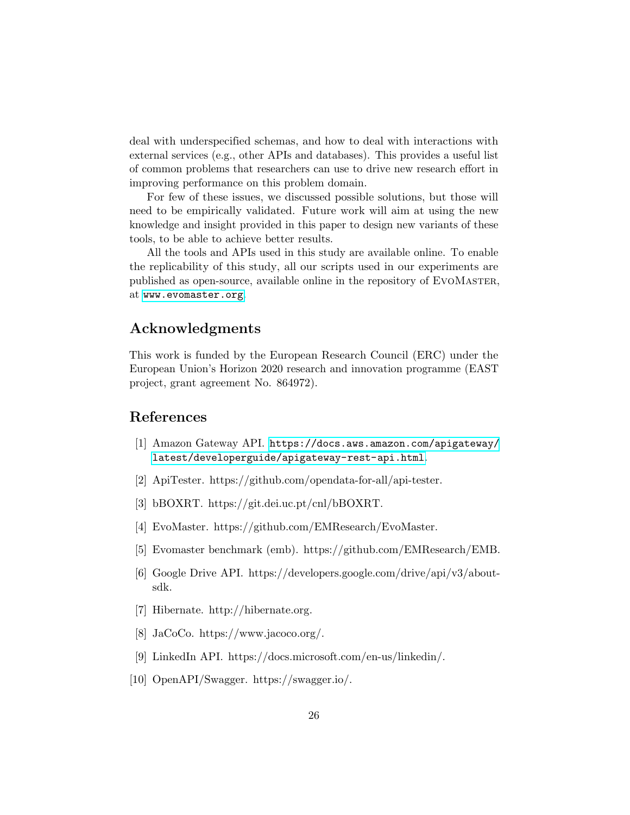deal with underspecified schemas, and how to deal with interactions with external services (e.g., other APIs and databases). This provides a useful list of common problems that researchers can use to drive new research effort in improving performance on this problem domain.

For few of these issues, we discussed possible solutions, but those will need to be empirically validated. Future work will aim at using the new knowledge and insight provided in this paper to design new variants of these tools, to be able to achieve better results.

All the tools and APIs used in this study are available online. To enable the replicability of this study, all our scripts used in our experiments are published as open-source, available online in the repository of EvoMaster, at <www.evomaster.org>.

### Acknowledgments

This work is funded by the European Research Council (ERC) under the European Union's Horizon 2020 research and innovation programme (EAST project, grant agreement No. 864972).

### References

- <span id="page-25-1"></span>[1] Amazon Gateway API. [https://docs.aws.amazon.com/apigateway/](https://docs.aws.amazon.com/apigateway/latest/developerguide/apigateway-rest-api.html) [latest/developerguide/apigateway-rest-api.html](https://docs.aws.amazon.com/apigateway/latest/developerguide/apigateway-rest-api.html).
- <span id="page-25-4"></span>[2] ApiTester. https://github.com/opendata-for-all/api-tester.
- <span id="page-25-6"></span>[3] bBOXRT. https://git.dei.uc.pt/cnl/bBOXRT.
- <span id="page-25-7"></span>[4] EvoMaster. https://github.com/EMResearch/EvoMaster.
- <span id="page-25-8"></span>[5] Evomaster benchmark (emb). https://github.com/EMResearch/EMB.
- <span id="page-25-0"></span>[6] Google Drive API. https://developers.google.com/drive/api/v3/aboutsdk.
- <span id="page-25-9"></span>[7] Hibernate. http://hibernate.org.
- <span id="page-25-3"></span>[8] JaCoCo. https://www.jacoco.org/.
- <span id="page-25-2"></span>[9] LinkedIn API. https://docs.microsoft.com/en-us/linkedin/.
- <span id="page-25-5"></span>[10] OpenAPI/Swagger. https://swagger.io/.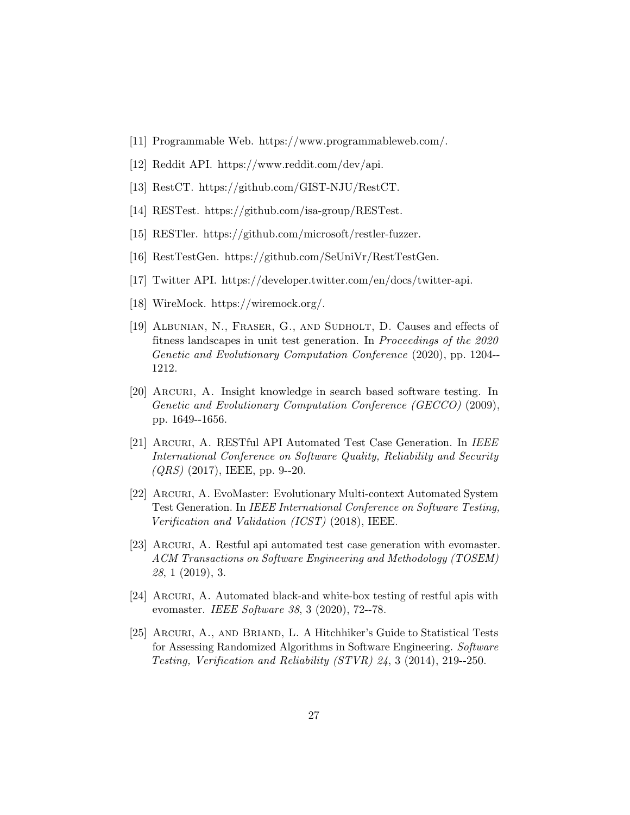- <span id="page-26-2"></span>[11] Programmable Web. https://www.programmableweb.com/.
- <span id="page-26-1"></span>[12] Reddit API. https://www.reddit.com/dev/api.
- <span id="page-26-8"></span>[13] RestCT. https://github.com/GIST-NJU/RestCT.
- <span id="page-26-7"></span>[14] RESTest. https://github.com/isa-group/RESTest.
- <span id="page-26-9"></span>[15] RESTler. https://github.com/microsoft/restler-fuzzer.
- <span id="page-26-10"></span>[16] RestTestGen. https://github.com/SeUniVr/RestTestGen.
- <span id="page-26-0"></span>[17] Twitter API. https://developer.twitter.com/en/docs/twitter-api.
- <span id="page-26-14"></span>[18] WireMock. https://wiremock.org/.
- <span id="page-26-12"></span>[19] Albunian, N., Fraser, G., and Sudholt, D. Causes and effects of fitness landscapes in unit test generation. In Proceedings of the 2020 Genetic and Evolutionary Computation Conference (2020), pp. 1204-- 1212.
- <span id="page-26-11"></span>[20] Arcuri, A. Insight knowledge in search based software testing. In Genetic and Evolutionary Computation Conference (GECCO) (2009), pp. 1649--1656.
- <span id="page-26-3"></span>[21] Arcuri, A. RESTful API Automated Test Case Generation. In IEEE International Conference on Software Quality, Reliability and Security  $(QRS)$  (2017), IEEE, pp. 9--20.
- <span id="page-26-4"></span>[22] Arcuri, A. EvoMaster: Evolutionary Multi-context Automated System Test Generation. In IEEE International Conference on Software Testing, Verification and Validation (ICST) (2018), IEEE.
- <span id="page-26-5"></span>[23] Arcuri, A. Restful api automated test case generation with evomaster. ACM Transactions on Software Engineering and Methodology (TOSEM) 28, 1 (2019), 3.
- <span id="page-26-6"></span>[24] Arcuri, A. Automated black-and white-box testing of restful apis with evomaster. IEEE Software 38, 3 (2020), 72--78.
- <span id="page-26-13"></span>[25] ARCURI, A., AND BRIAND, L. A Hitchhiker's Guide to Statistical Tests for Assessing Randomized Algorithms in Software Engineering. Software Testing, Verification and Reliability (STVR) 24, 3 (2014), 219--250.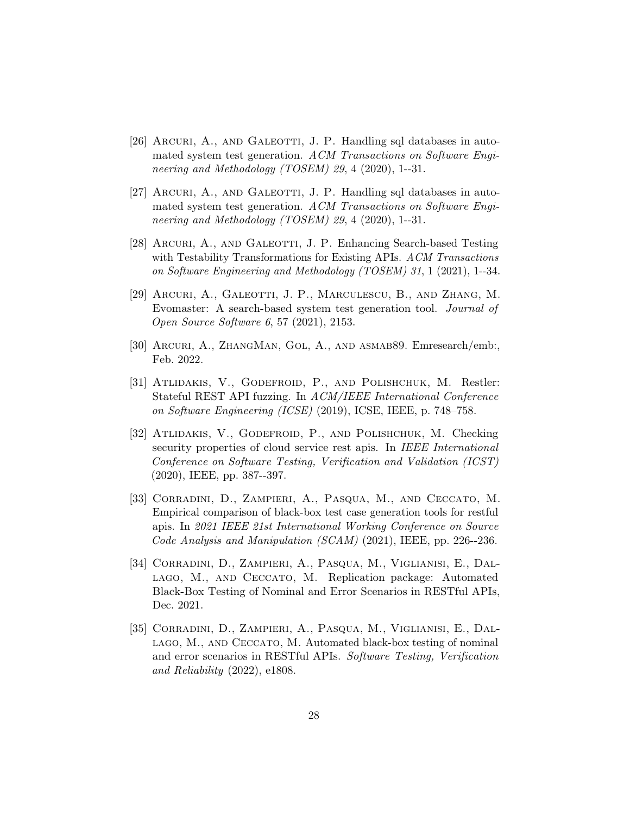- <span id="page-27-1"></span>[26] ARCURI, A., AND GALEOTTI, J. P. Handling sql databases in automated system test generation. ACM Transactions on Software Engineering and Methodology (TOSEM) 29, 4 (2020), 1--31.
- <span id="page-27-9"></span>[27] ARCURI, A., AND GALEOTTI, J. P. Handling sql databases in automated system test generation. ACM Transactions on Software Engineering and Methodology (TOSEM) 29, 4 (2020), 1--31.
- <span id="page-27-3"></span>[28] ARCURI, A., AND GALEOTTI, J. P. Enhancing Search-based Testing with Testability Transformations for Existing APIs. ACM Transactions on Software Engineering and Methodology (TOSEM) 31, 1 (2021), 1--34.
- <span id="page-27-2"></span>[29] Arcuri, A., Galeotti, J. P., Marculescu, B., and Zhang, M. Evomaster: A search-based system test generation tool. Journal of Open Source Software 6, 57 (2021), 2153.
- <span id="page-27-8"></span>[30] Arcuri, A., ZhangMan, Gol, A., and asmab89. Emresearch/emb:, Feb. 2022.
- <span id="page-27-0"></span>[31] Atlidakis, V., Godefroid, P., and Polishchuk, M. Restler: Stateful REST API fuzzing. In ACM/IEEE International Conference on Software Engineering (ICSE) (2019), ICSE, IEEE, p. 748–758.
- <span id="page-27-4"></span>[32] Atlidakis, V., Godefroid, P., and Polishchuk, M. Checking security properties of cloud service rest apis. In IEEE International Conference on Software Testing, Verification and Validation (ICST) (2020), IEEE, pp. 387--397.
- <span id="page-27-7"></span>[33] Corradini, D., Zampieri, A., Pasqua, M., and Ceccato, M. Empirical comparison of black-box test case generation tools for restful apis. In 2021 IEEE 21st International Working Conference on Source Code Analysis and Manipulation (SCAM) (2021), IEEE, pp. 226--236.
- <span id="page-27-6"></span>[34] Corradini, D., Zampieri, A., Pasqua, M., Viglianisi, E., Dallago, M., and Ceccato, M. Replication package: Automated Black-Box Testing of Nominal and Error Scenarios in RESTful APIs, Dec. 2021.
- <span id="page-27-5"></span>[35] Corradini, D., Zampieri, A., Pasqua, M., Viglianisi, E., Dallago, M., and Ceccato, M. Automated black-box testing of nominal and error scenarios in RESTful APIs. Software Testing, Verification and Reliability (2022), e1808.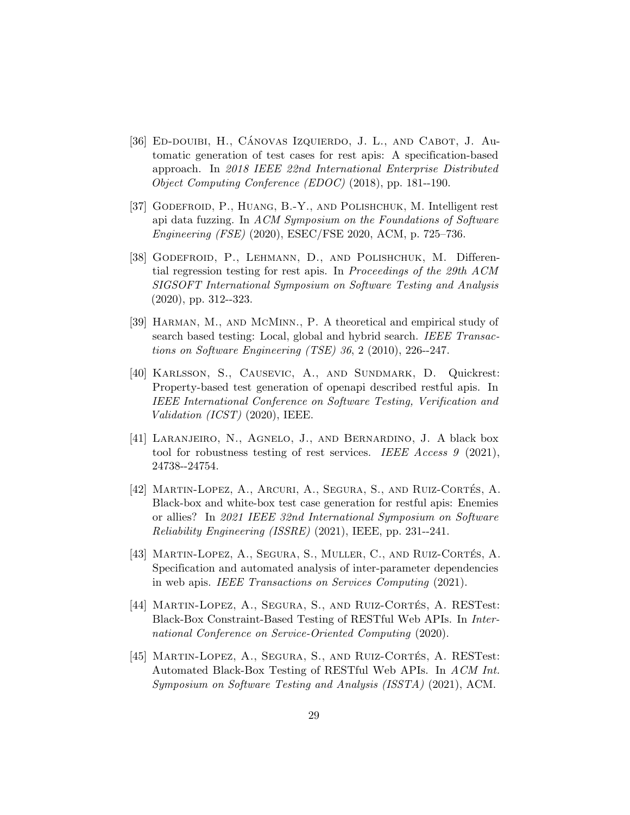- <span id="page-28-3"></span>[36] ED-DOUIBI, H., CÁNOVAS IZQUIERDO, J. L., AND CABOT, J. Automatic generation of test cases for rest apis: A specification-based approach. In 2018 IEEE 22nd International Enterprise Distributed Object Computing Conference (EDOC) (2018), pp. 181--190.
- <span id="page-28-7"></span>[37] Godefroid, P., Huang, B.-Y., and Polishchuk, M. Intelligent rest api data fuzzing. In ACM Symposium on the Foundations of Software Engineering (FSE) (2020), ESEC/FSE 2020, ACM, p. 725–736.
- <span id="page-28-6"></span>[38] Godefroid, P., Lehmann, D., and Polishchuk, M. Differential regression testing for rest apis. In Proceedings of the 29th ACM SIGSOFT International Symposium on Software Testing and Analysis (2020), pp. 312--323.
- <span id="page-28-8"></span>[39] Harman, M., and McMinn., P. A theoretical and empirical study of search based testing: Local, global and hybrid search. IEEE Transactions on Software Engineering (TSE) 36, 2 (2010), 226--247.
- <span id="page-28-2"></span>[40] KARLSSON, S., CAUSEVIC, A., AND SUNDMARK, D. Quickrest: Property-based test generation of openapi described restful apis. In IEEE International Conference on Software Testing, Verification and Validation (ICST) (2020), IEEE.
- <span id="page-28-0"></span>[41] Laranjeiro, N., Agnelo, J., and Bernardino, J. A black box tool for robustness testing of rest services. IEEE Access 9 (2021), 24738--24754.
- <span id="page-28-9"></span>[42] MARTIN-LOPEZ, A., ARCURI, A., SEGURA, S., AND RUIZ-CORTÉS, A. Black-box and white-box test case generation for restful apis: Enemies or allies? In 2021 IEEE 32nd International Symposium on Software Reliability Engineering (ISSRE) (2021), IEEE, pp. 231--241.
- <span id="page-28-5"></span>[43] MARTIN-LOPEZ, A., SEGURA, S., MULLER, C., AND RUIZ-CORTÉS, A. Specification and automated analysis of inter-parameter dependencies in web apis. IEEE Transactions on Services Computing (2021).
- <span id="page-28-1"></span>[44] MARTIN-LOPEZ, A., SEGURA, S., AND RUIZ-CORTÉS, A. RESTest: Black-Box Constraint-Based Testing of RESTful Web APIs. In International Conference on Service-Oriented Computing (2020).
- <span id="page-28-4"></span>[45] MARTIN-LOPEZ, A., SEGURA, S., AND RUIZ-CORTÉS, A. RESTest: Automated Black-Box Testing of RESTful Web APIs. In ACM Int. Symposium on Software Testing and Analysis (ISSTA) (2021), ACM.